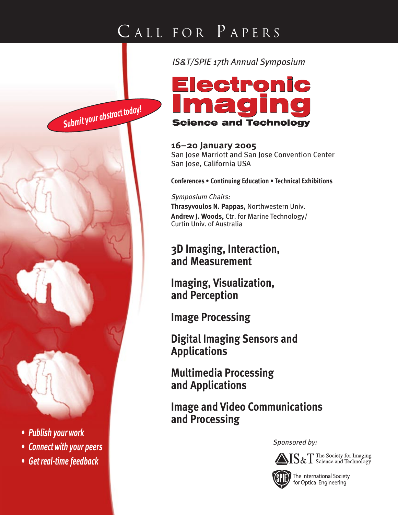*Submit your abstract today!*



*IS&T/SPIE 17th Annual Symposium*

**16–20 January 2005** San Jose Marriott and San Jose Convention Center San Jose, California USA

**Conferences • Continuing Education • Technical Exhibitions**

### Symposium Chairs: **Thrasyvoulos N. Pappas,** Northwestern Univ. **Andrew J. Woods,** Ctr. for Marine Technology/ Curtin Univ. of Australia

## **3D Imaging, Interaction, and Measurement**

**Imaging, Visualization, and Perception**

**Image Processing**

**Digital Imaging Sensors and Applications**

**Multimedia Processing and Applications**

**Image and Video Communications and Processing**

Sponsored by:





The International Society for Optical Engineering



- *Connect with your peers*
- *Get real-time feedback*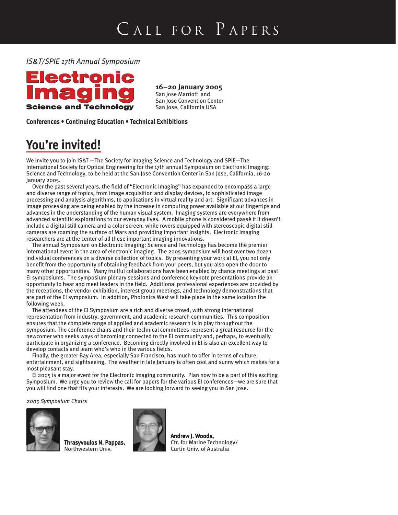*IS&T/SPIE 17th Annual Symposium*



### **16–20 January 2005**

San Jose Marriott and San Jose Convention Center San Jose, California USA

**Conferences • Continuing Education • Technical Exhibitions**

# **You're invited!**

We invite you to join IS&T —The Society for Imaging Science and Technology and SPIE—The International Society for Optical Engineering for the 17th annual Symposium on Electronic Imaging: Science and Technology, to be held at the San Jose Convention Center in San Jose, California, 16-20 January 2005.

Over the past several years, the field of "Electronic Imaging" has expanded to encompass a large and diverse range of topics, from image acquisition and display devices, to sophisticated image processing and analysis algorithms, to applications in virtual reality and art. Significant advances in image processing are being enabled by the increase in computing power available at our fingertips and advances in the understanding of the human visual system. Imaging systems are everywhere from advanced scientific explorations to our everyday lives. A mobile phone is considered passé if it doesn't include a digital still camera and a color screen, while rovers equipped with stereoscopic digital still cameras are roaming the surface of Mars and providing important insights. Electronic imaging researchers are at the center of all these important imaging innovations.

The annual Symposium on Electronic Imaging: Science and Technology has become the premier international event in the area of electronic imaging. The 2005 symposium will host over two dozen individual conferences on a diverse collection of topics. By presenting your work at EI, you not only benefit from the opportunity of obtaining feedback from your peers, but you also open the door to many other opportunities. Many fruitful collaborations have been enabled by chance meetings at past EI symposiums. The symposium plenary sessions and conference keynote presentations provide an opportunity to hear and meet leaders in the field. Additional professional experiences are provided by the receptions, the vendor exhibition, interest group meetings, and technology demonstrations that are part of the EI symposium. In addition, Photonics West will take place in the same location the following week.

The attendees of the EI Symposium are a rich and diverse crowd, with strong international representation from industry, government, and academic research communities. This composition ensures that the complete range of applied and academic research is in play throughout the symposium. The conference chairs and their technical committees represent a great resource for the newcomer who seeks ways of becoming connected to the EI community and, perhaps, to eventually participate in organizing a conference. Becoming directly involved in EI is also an excellent way to develop contacts and learn who's who in the various fields.

Finally, the greater Bay Area, especially San Francisco, has much to offer in terms of culture, entertainment, and sightseeing. The weather in late January is often cool and sunny which makes for a most pleasant stay.

EI 2005 is a major event for the Electronic Imaging community. Plan now to be a part of this exciting Symposium. We urge you to review the call for papers for the various EI conferences—we are sure that you will find one that fits your interests. We are looking forward to seeing you in San Jose.

2005 Symposium Chairs



Thrasyvoulos N. Pappas, Northwestern Univ.



Andrew J. Woods, Ctr. for Marine Technology/ Curtin Univ. of Australia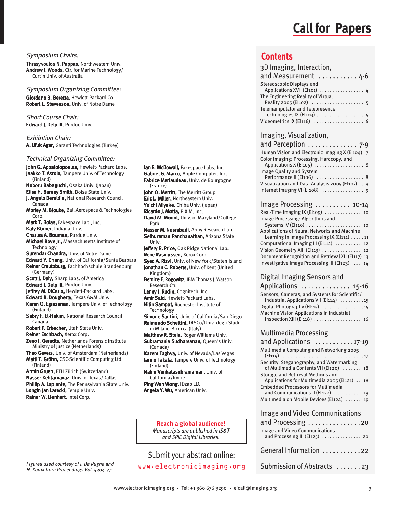## **Call for Papers**

Symposium Chairs:

**Thrasyvoulos N. Pappas,** Northwestern Univ. **Andrew J. Woods,** Ctr. for Marine Technology/ Curtin Univ. of Australia

Symposium Organizing Committee:

Giordano B. Beretta, Hewlett-Packard Co. Robert L. Stevenson, Univ. of Notre Dame

Short Course Chair: Edward J. Delp III, Purdue Univ.

Exhibition Chair: A. Ufuk Agar, Garanti Technologies (Turkey)

#### Technical Organizing Committee:

John G. Apostolopoulos, Hewlett-Packard Labs. Jaakko T. Astola, Tampere Univ. of Technology (Finland) Noboru Babaguchi, Osaka Univ. (Japan) Elisa H. Barney Smith, Boise State Univ. J. Angelo Beraldin, National Research Council Canada Morley M. Blouke, Ball Aerospace & Technologies Corp. Mark T. Bolas, Fakespace Lab., Inc. Katy Börner, Indiana Univ. Charles A. Bouman, Purdue Univ. Michael Bove Jr., Massachusetts Institute of Technology Surendar Chandra, Univ. of Notre Dame Edward Y. Chang, Univ. of California/Santa Barbara Reiner Creutzburg, Fachhochschule Brandenburg (Germany) Scott J. Daly, Sharp Labs. of America Edward J. Delp III, Purdue Univ. Jeffrey M. DiCarlo, Hewlett-Packard Labs. Edward R. Dougherty, Texas A&M Univ. Karen O. Egiazarian, Tampere Univ. of Technology (Finland) Sabry F. El-Hakim. National Research Council Canada Robert F. Erbacher, Utah State Univ. Reiner Eschbach, Xerox Corp. Zeno J. Geradts, Netherlands Forensic Institute Ministry of Justice (Netherlands) Theo Gevers, Univ. of Amsterdam (Netherlands) Matti T. Gröhn, CSC-Scientific Computing Ltd.

(Finland) Armin Gruen, ETH Zürich (Switzerland) Nasser Kehtarnavaz, Univ. of Texas/Dallas Phillip A. Laplante, The Pennsylvania State Univ.

Longin Jan Latecki, Temple Univ. Rainer W. Lienhart, Intel Corp.

lan E. McDowall, Fakespace Labs, Inc. Gabriel G. Marcu, Apple Computer, Inc. Fabrice Meriaudeau, Univ. de Bourgogne (France) John O. Merritt, The Merritt Group Eric L. Miller, Northeastern Univ. Yoichi Miyake, Chiba Univ. (Japan) Ricardo J. Motta, PIXIM, Inc. David M. Mount, Univ. of Maryland/College Park Nasser M. Nasrabadi, Army Research Lab. Sethuraman Panchanathan, Arizona State Univ. Jeffery R. Price, Oak Ridge National Lab. Rene Rasmussen, Xerox Corp. Syed A. Rizvi, Univ. of New York/Staten Island Jonathan C. Roberts, Univ. of Kent (United Kingdom) Bernice E. Rogowitz, IBM Thomas J. Watson Research Ctr. Lenny I. Rudin, Cognitech, Inc. Amir Said, Hewlett-Packard Labs. Nitin Sampat, Rochester Institute of **Technology** Simone Santini, Univ. of California/San Diego Raimondo Schettini, DISCo/Univ. degli Studi di Milano-Bicocca (Italy) Matthew R. Stein, Roger Williams Univ. Subramania Sudharsanan, Queen's Univ. (Canada) Kazem Taghva, Univ. of Nevada/Las Vegas Jarmo Takala, Tampere Univ. of Technology (Finland) Nalini Venkatasubramanian, Univ. of California/Irvine Ping Wah Wong, IDzap LLC Angela Y. Wu, American Univ.

**Reach a global audience!** *Manuscripts are published in IS&T and SPIE Digital Libraries.*

Figures used courtesy of J. Da Rugna and H. Konik from Proceedings Vol. 5304-37.

Submit your abstract online: www.electronicimaging.org

### **Contents**

| 3D Imaging, Interaction,                                 |
|----------------------------------------------------------|
| and Measurement  4-6                                     |
| Stereoscopic Displays and<br>Applications XVI (El101)  4 |
| The Engineering Reality of Virtual                       |
| <b>Telemanipulator and Telepresence</b>                  |
| Technologies IX (El103)  5<br>Videometrics IX (El116)  6 |

### Imaging, Visualization,

| and Perception $\ldots \ldots \ldots \ldots$ 7-9             |  |
|--------------------------------------------------------------|--|
| Human Vision and Electronic Imaging X (El104) 7              |  |
| Color Imaging: Processing, Hardcopy, and                     |  |
| <b>Image Quality and System</b><br>Performance II (El106)  8 |  |
| Visualization and Data Analysis 2005 (El107) . 9             |  |
| Internet Imaging VI (El108)  9                               |  |

| Image Processing  10-14                           |
|---------------------------------------------------|
| Real-Time Imaging IX (El109)  10                  |
| Image Processing: Algorithms and                  |
| Systems IV (El110)  10                            |
| Applications of Neural Networks and Machine       |
| Learning in Image Processing IX (El111) 11        |
| Computational Imaging III (El112)  12             |
| Vision Geometry XIII (El113)  12                  |
| Document Recognition and Retrieval XII (El117) 13 |
| Investigative Image Processing III (El123)  14    |

### Digital Imaging Sensors and

| Applications  15-16                              |  |
|--------------------------------------------------|--|
| Sensors, Cameras, and Systems for Scientific/    |  |
| Industrial Applications VII (El114) 15           |  |
| Digital Photography (El115) 15                   |  |
| <b>Machine Vision Applications in Industrial</b> |  |
| Inspection XIII (El118)  16                      |  |

#### Multimedia Processing

| and Applications $\dots \dots \dots \dots$ 17-19                                    |
|-------------------------------------------------------------------------------------|
| Multimedia Computing and Networking 2005                                            |
| Security, Steganography, and Watermarking<br>of Multimedia Contents VII (El120)  18 |
| Storage and Retrieval Methods and<br>Applications for Multimedia 2005 (El121) 18    |
| <b>Embedded Processors for Multimedia</b><br>and Communications II (El122)  19      |
| Multimedia on Mobile Devices (El124)  19                                            |
| Image and Video Communications<br>and Processing 20                                 |
|                                                                                     |

- Image and Video Communications and Processing III (EI125) . . . . . . . . . . . . . . . 20 General Information . . . . . . . . . . . 22
- Submission of Abstracts . . . . . . . 23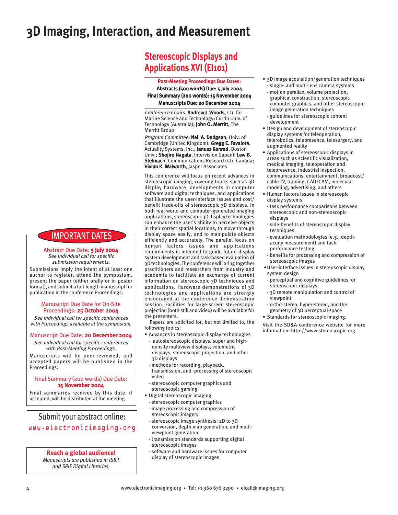## **3D Imaging, Interaction, and Measurement**

## **Stereoscopic Displays and Applications XVI (EI101)**

Post-Meeting Proceedings Due Dates: Abstracts (500 words) Due: 5 July 2004 Final Summary (200 words): 15 November 2004 Manuscripts Due: 20 December 2004

Conference Chairs: Andrew J. Woods, Ctr. for Marine Science and Technology/Curtin Univ. of Technology (Australia); John O. Merritt, The Merritt Group

Program Committee: Neil A. Dodgson, Univ. of Cambridge (United Kingdom); Gregg E. Favalora, Actuality Systems, Inc.; Janusz Konrad, Boston Univ.; Shojiro Nagata, Intervision (Japan); Lew B. Stelmach, Communications Research Ctr. Canada; Vivian K. Walworth, Jasper Associates

This conference will focus on recent advances in stereoscopic imaging, covering topics such as 3D display hardware, developments in computer software and digital techniques, and applications that illustrate the user-interface issues and cost/ benefit trade-offs of stereoscopic 3D displays. In both real-world and computer-generated imaging applications, stereoscopic 3D display technologies can enhance the user's ability to perceive objects in their correct spatial locations, to move through display space easily, and to manipulate objects efficiently and accurately. The parallel focus on human factors issues and applications requirements is intended to guide future display system development and task-based evaluation of 3D technologies. The conference will bring together practitioners and researchers from industry and academia to facilitate an exchange of current information on stereoscopic 3D techniques and applications. Hardware demonstrations of 3D technologies and applications are strongly encouraged at the conference demonstration session. Facilities for large-screen stereoscopic projection (both still and video) will be available for the presenters.

Papers are solicited for, but not limited to, the following topics:

- Advances in stereoscopic display technologies autostereoscopic displays, super and highdensity multiview displays, volumetric displays, stereoscopic projection, and other 3D displays
	- methods for recording, playback, transmission, and -processing of stereoscopic video
- stereoscopic computer graphics and stereoscopic gaming
- Digital stereoscopic imaging
- stereoscopic computer graphics - image processing and compression of
- stereoscopic imagery - stereoscopic image synthesis: 2D to 3D
- conversion, depth map generation, and multiviewpoint generation
- transmission standards supporting digital stereoscopic images
- software and hardware issues for computer display of stereoscopic images
- 3D image acquisition/generation techniques - single- and multi-lens camera systems
- motion parallax, volume projection, graphical construction, stereoscopic computer graphics, and other stereoscopic image generation techniques
- guidelines for stereoscopic content development
- Design and development of stereoscopic display systems for teleoperation, telerobotics, telepresence, telesurgery, and augmented reality
- Applications of stereoscopic displays in areas such as scientific visualization, medical imaging, teleoperation and telepresence, industrial inspection, communications, entertainment, broadcast/ cable TV, training, CAD/CAM, molecular modeling, advertising, and others
- Human factors issues in stereoscopic display systems
- task performance comparisons between stereoscopic and non-stereoscopic displays
- side-benefits of stereoscopic display techniques
- evaluation methodologies (e.g., depthacuity measurement) and taskperformance testing
- benefits for processing and compression of stereoscopic images
- User-interface issues in stereoscopic display system design
- perceptual and cognitive guidelines for stereoscopic displays
- 3D remote manipulation and control of viewpoint
- ortho-stereo, hyper-stereo, and the geometry of 3D perceptual space
- Standards for stereoscopic imaging.

Visit the SD&A conference website for more information: http://www.stereoscopic.org

## IMPORTANT DATES

Abstract Due Date: 5 July 2004 See individual call for specific submission requirements.

Submissions imply the intent of at least one author to register, attend the symposium, present the paper (either orally or in poster format), and submit a full-length manuscript for publication in the conference Proceedings.

#### Manuscript Due Date for On-Site Proceedings: 25 October 2004

See individual call for specific conferences with Proceedings available at the symposium.

#### Manuscript Due Date: 20 December 2004

See individual call for specific conferences with Post-Meeting Proceedings.

Manuscripts will be peer-reviewed, and accepted papers will be published in the Proceedings.

#### Final Summary (200 words) Due Date: 15 November 2004

Final summaries received by this date, if accepted, will be distributed at the meeting.

### Submit your abstract online: www.electronicimaging.org

#### **Reach a global audience!**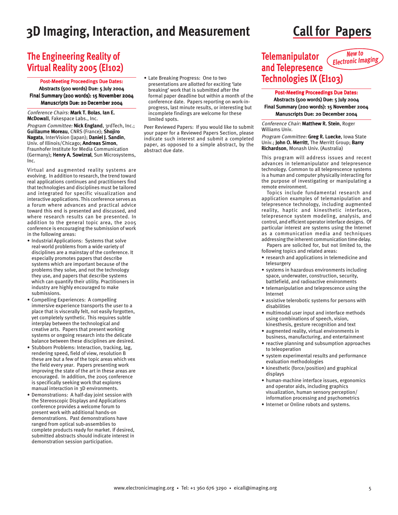## **3D Imaging, Interaction, and Measurement Call for Papers**

## **The Engineering Reality of Virtual Reality 2005 (EI102)**

Post-Meeting Proceedings Due Dates: Abstracts (500 words) Due: 5 July 2004 Final Summary (200 words): 15 November 2004 Manuscripts Due: 20 December 2004

Conference Chairs: Mark T. Bolas, Ian E. McDowall, Fakespace Labs., Inc.

Program Committee: Nick England, 3rdTech, Inc.; Guillaume Moreau, CNRS (France); Shojiro Nagata, InterVision (Japan); Daniel J. Sandin, Univ. of Illinois/Chicago; Andreas Simon, Fraunhofer Institute for Media Communication (Germany); Henry A. Sowizral, Sun Microsystems, Inc.

Virtual and augmented reality systems are evolving. In addition to research, the trend toward real applications continues and practitioners find that technologies and disciplines must be tailored and integrated for specific visualization and interactive applications. This conference serves as a forum where advances and practical advice toward this end is presented and discussed, and where research results can be presented. In addition to the general topic area, the 2005 conference is encouraging the submission of work in the following areas:

- Industrial Applications: Systems that solve real-world problems from a wide variety of disciplines are a mainstay of the conference. It especially promotes papers that describe systems which are important because of the problems they solve, and not the technology they use, and papers that describe systems which can quantify their utility. Practitioners in industry are highly encouraged to make submissions.
- Compelling Experiences: A compelling immersive experience transports the user to a place that is viscerally felt, not easily forgotten, yet completely synthetic. This requires subtle interplay between the technological and creative arts. Papers that present working systems or ongoing research into the delicate balance between these disciplines are desired.
- Stubborn Problems: Interaction, tracking, lag, rendering speed, field of view, resolution B these are but a few of the topic areas which vex the field every year. Papers presenting work improving the state of the art in these areas are encouraged. In addition, the 2005 conference is specifically seeking work that explores manual interaction in 3D environments.
- Demonstrations: A half-day joint session with the Stereoscopic Displays and Applications conference provides a welcome forum to present work with additional hands-on demonstrations. Past demonstrations have ranged from optical sub-assemblies to complete products ready for market. If desired, submitted abstracts should indicate interest in demonstration session participation.

• Late Breaking Progress: One to two presentations are allotted for exciting 'late breaking' work that is submitted after the formal paper deadline but within a month of the conference date. Papers reporting on work-inprogress, last minute results, or interesting but incomplete findings are welcome for these limited spots.

Peer Reviewed Papers: If you would like to submit your paper for a Reviewed Papers Section, please indicate such interest and submit a completed paper, as opposed to a simple abstract, by the abstract due date.

#### **Telemanipulator and Telepresence Technologies IX (EI103) New to Electronic Imaging**

Post-Meeting Proceedings Due Dates: Abstracts (500 words) Due: 5 July 2004 Final Summary (200 words): 15 November 2004 Manuscripts Due: 20 December 2004

Conference Chair: Matthew R. Stein, Roger Williams Univ.

Program Committee: Greg R. Luecke, Iowa State Univ.; John O. Merritt, The Merritt Group; Barry Richardson, Monash Univ. (Australia)

This program will address issues and recent advances in telemanipulator and telepresence technology. Common to all teleprescence systems is a human and computer physically interacting for the purpose of investigating or manipulating a remote environment.

Topics include fundamental research and application examples of telemanipulation and telepresence technology, including augmented reality, haptic and kinesthetic interfaces, telepresence system modeling, analysis, and control, and efficient operator interface designs. Of particular interest are systems using the Internet as a communication media and techniques addressing the inherent communication time delay.

Papers are solicited for, but not limited to, the following topics and related areas:

- research and applications in telemedicine and telesurgery
- systems in hazardous environments including space, underwater, construction, security, battlefield, and radioactive environments
- telemanipulation and teleprescence using the Internet
- assistive telerobotic systems for persons with disabilities
- multimodal user input and interface methods using combinations of speech, vision, kinesthesis, gesture recognition and text
- augmented reality, virtual environments in business, manufacturing, and entertainment
- reactive planning and subsumption approaches to teleoperation
- system experimental results and performance evaluation methodologies
- kinesthetic (force/position) and graphical displays
- human-machine interface issues, ergonomics and operator aids, including graphics visualization, human sensory perception/ information processing and psychometrics
- Internet or Online robots and systems.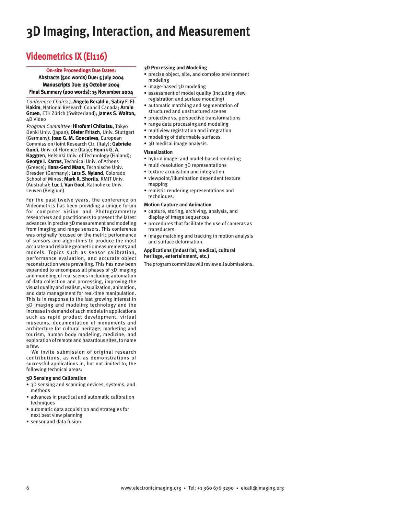# **3D Imaging, Interaction, and Measurement**

## **Videometrics IX (EI116)**

#### On-site Proceedings Due Dates:

Abstracts (500 words) Due: 5 July 2004 Manuscripts Due: 25 October 2004 Final Summary (200 words): 15 November 2004

Conference Chairs: I. Angelo Beraldin, Sabry F. El-Hakim, National Research Council Canada; Armin Gruen, ETH Zürich (Switzerland); James S. Walton, 4D Video

Program Committee: Hirofumi Chikatsu, Tokyo Denki Univ. (Japan); Dieter Fritsch, Univ. Stuttgart (Germany); Joao G. M. Goncalves, European Commission/Joint Research Ctr. (Italy); Gabriele Guidi, Univ. of Florence (Italy); Henrik G. A. Haggren, Helsinki Univ. of Technology (Finland); George I. Karras, Technical Univ. of Athens (Greece); Hans-Gerd Maas, Technische Univ. Dresden (Germany); Lars S. Nyland, Colorado School of Mines; Mark R. Shortis, RMIT Univ. (Australia); Luc J. Van Gool, Katholieke Univ. Leuven (Belgium)

For the past twelve years, the conference on Videometrics has been providing a unique forum for computer vision and Photogrammetry researchers and practitioners to present the latest advances in precise 3D measurement and modeling from imaging and range sensors. This conference was originally focused on the metric performance of sensors and algorithms to produce the most accurate and reliable geometric measurements and models. Topics such as sensor calibration, performance evaluation, and accurate object reconstruction were prevailing. This has now been expanded to encompass all phases of 3D imaging and modeling of real scenes including automation of data collection and processing, improving the visual quality and realism, visualization, animation, and data management for real-time manipulation. This is in response to the fast growing interest in 3D imaging and modeling technology and the increase in demand of such models in applications such as rapid product development, virtual museums, documentation of monuments and architecture for cultural heritage, marketing and tourism, human body modeling, medicine, and exploration of remote and hazardous sites, to name a few.

We invite submission of original research contributions, as well as demonstrations of successful applications in, but not limited to, the following technical areas:

#### **3D Sensing and Calibration**

- 3D sensing and scanning devices, systems, and methods
- advances in practical and automatic calibration techniques
- automatic data acquisition and strategies for next best view planning
- sensor and data fusion.

#### **3D Processing and Modeling**

- precise object, site, and complex environment modeling
- image-based 3D modeling
- assessment of model quality (including view registration and surface modeling)
- automatic matching and segmentation of structured and unstructured scenes
- projective vs. perspective transformations
- range data processing and modeling
- multiview registration and integration
- modeling of deformable surfaces
- 3D medical image analysis.

#### **Visualization**

- hybrid image- and model-based rendering
- multi-resolution 3D representations
- texture acquisition and integration
- viewpoint/illumination dependent texture mapping
- realistic rendering representations and techniques.

#### **Motion Capture and Animation**

- capture, storing, archiving, analysis, and display of image sequences
- procedures that facilitate the use of cameras as transducers
- image matching and tracking in motion analysis and surface deformation.

#### **Applications (industrial, medical, cultural heritage, entertainment, etc.)**

The program committee will review all submissions.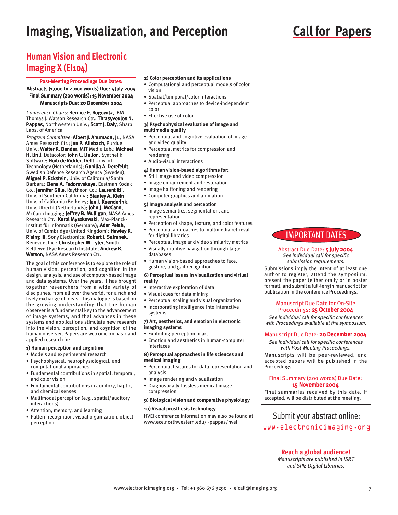## **Imaging, Visualization, and Perception**

# **Call for Papers**

## **Human Vision and Electronic Imaging X (EI104)**

#### Post-Meeting Proceedings Due Dates:

Abstracts (1,000 to 2,000 words) Due: 5 July 2004 Final Summary (200 words): 15 November 2004 Manuscripts Due: 20 December 2004

Conference Chairs: Bernice E. Rogowitz, IBM Thomas J. Watson Research Ctr.; Thrasyvoulos N. Pappas, Northwestern Univ.; Scott J. Daly, Sharp Labs. of America

Program Committee: Albert J. Ahumada, Jr., NASA Ames Research Ctr.; Jan P. Allebach, Purdue Univ.; Walter R. Bender, MIT Media Lab.; Michael H. Brill, Datacolor; John C. Dalton, Synthetik Software; Huib de Ridder, Delft Univ. of Technology (Netherlands); Gunilla A. Derefeldt, Swedish Defence Research Agency (Sweden); Miguel P. Eckstein, Univ. of California/Santa Barbara; Elena A. Fedorovskaya, Eastman Kodak Co.; Jennifer Gille, Raytheon Co.; Laurent Itti, Univ. of Southern California; Stanley A. Klein, Univ. of California/Berkeley; Jan J. Koenderink, Univ. Utrecht (Netherlands); John J. McCann, McCann Imaging; Jeffrey B. Mulligan, NASA Ames Research Ctr.; Karol Myszkowski, Max-Planck-Institut für Informatik (Germany); Adar Pelah, Univ. of Cambridge (United Kingdom); Hawley K. Rising III, Sony Electronics; Robert J. Safranek, Benevue, Inc.; Christopher W. Tyler, Smith-Kettlewell Eye Research Institute; Andrew B. Watson, NASA Ames Research Ctr.

The goal of this conference is to explore the role of human vision, perception, and cognition in the design, analysis, and use of computer-based image and data systems. Over the years, it has brought together researchers from a wide variety of disciplines, from all over the world, for a rich and lively exchange of ideas. This dialogue is based on the growing understanding that the human observer is a fundamental key to the advancement of image systems, and that advances in these systems and applications stimulate new research into the vision, perception, and cognition of the human observer. Papers are welcome on basic and applied research in:

#### **1) Human perception and cognition**

- Models and experimental research
- Psychophysical, neurophysiological, and computational approaches
- Fundamental contributions in spatial, temporal, and color vision
- Fundamental contributions in auditory, haptic, and chemical senses
- Multimodal perception (e.g., spatial/auditory interactions)
- Attention, memory, and learning
- Pattern recognition, visual organization, object perception
- **2) Color perception and its applications**
- Computational and perceptual models of color vision
- Spatial/temporal/color interactions
- Perceptual approaches to device-independent color
- Effective use of color

#### **3) Psychophysical evaluation of image and multimedia quality**

- Perceptual and cognitive evaluation of image and video quality
- Perceptual metrics for compression and rendering
- Audio-visual interactions
- **4) Human vision-based algorithms for:**
- Still image and video compression
- Image enhancement and restoration
- Image halftoning and rendering
- Computer graphics and animation

#### **5) Image analysis and perception**

- Image semantics, segmentation, and representation
- Perception of shape, texture, and color features
- Perceptual approaches to multimedia retrieval for digital libraries
- Perceptual image and video similarity metrics
- Visually-intuitive navigation through large databases
- Human vision-based approaches to face, gesture, and gait recognition

#### **6) Perceptual issues in visualization and virtual reality**

- Interactive exploration of data
- Visual cues for data mining
- Perceptual scaling and visual organization
- Incorporating intelligence into interactive systems

#### **7) Art, aesthetics, and emotion in electronic imaging systems**

- Exploiting perception in art
- Emotion and aesthetics in human-computer interfaces

#### **8) Perceptual approaches in life sciences and medical imaging**

- Perceptual features for data representation and analysis
- Image rendering and visualization
- Diagnostically-lossless medical image compression

#### **9) Biological vision and comparative physiology**

#### **10) Visual prosthesis technology**

HVEI conference information may also be found at Submit your abstract online:<br>www.ece.northwestern.edu/~pappas/hvei

### IMPORTANT DATES

#### Abstract Due Date: 5 July 2004 See individual call for specific submission requirements.

Submissions imply the intent of at least one author to register, attend the symposium, present the paper (either orally or in poster format), and submit a full-length manuscript for publication in the conference Proceedings.

#### Manuscript Due Date for On-Site Proceedings: 25 October 2004

See individual call for specific conferences with Proceedings available at the symposium.

#### Manuscript Due Date: 20 December 2004

See individual call for specific conferences with Post-Meeting Proceedings.

Manuscripts will be peer-reviewed, and accepted papers will be published in the Proceedings.

#### Final Summary (200 words) Due Date: 15 November 2004

Final summaries received by this date, if accepted, will be distributed at the meeting.

# www.electronicimaging.org

#### **Reach a global audience!**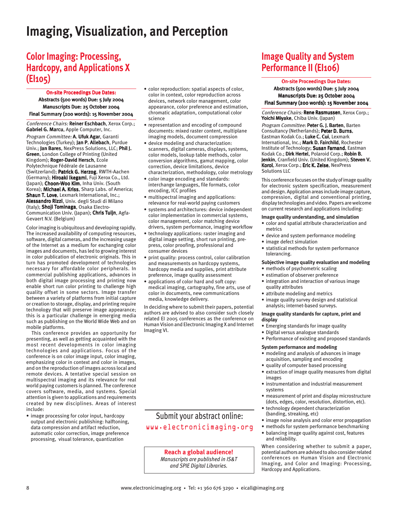## **Imaging, Visualization, and Perception**

## **Color Imaging: Processing, Hardcopy, and Applications X (EI105)**

On-site Proceedings Due Dates:

Abstracts (500 words) Due: 5 July 2004 Manuscripts Due: 25 October 2004 Final Summary (200 words): 15 November 2004

Conference Chairs: Reiner Eschbach, Xerox Corp.; Gabriel G. Marcu, Apple Computer, Inc.

Program Committee: A. Ufuk Agar, Garanti Technologies (Turkey); Jan P. Allebach, Purdue Univ.; Jan Bares, NexPress Solutions, LLC; Phil J. Green, London College of Printing (United Kingdom); Roger-David Hersch, Ecole Polytechnique Fédérale de Lausanne (Switzerland); Patrick G. Herzog, RWTH-Aachen (Germany); Hiroaki Ikegami, Fuji Xerox Co., Ltd. (Japan); Choon-Woo Kim, Inha Univ. (South Korea); Michael A. Kriss, Sharp Labs. of America; Shaun T. Love, Lexmark International, Inc.; Alessandro Rizzi, Univ. degli Studi di Milano (Italy); Shoji Tominaga, Osaka Electro-Communication Univ. (Japan); Chris Tuijn, Agfa-Gevaert N.V. (Belgium)

Color imaging is ubiquitous and developing rapidly. The increased availability of computing resources, software, digital cameras, and the increasing usage of the Internet as a medium for exchanging color images and documents, has led to growing interest in color publication of electronic originals. This in turn has promoted development of technologies necessary for affordable color peripherals. In commercial publishing applications, advances in both digital image processing and printing now enable short run color printing to challenge high quality offset in some sectors. Image transfer between a variety of platforms from initial capture or creation to storage, display, and printing require technology that will preserve image appearance; this is a particular challenge in emerging media such as publishing on the World Wide Web and on mobile platforms.

This conference provides an opportunity for presenting, as well as getting acquainted with the most recent developments in color imaging technologies and applications. Focus of the conference is on color image input, color imaging, emphasizing color in context and color in images, and on the reproduction of images across local and remote devices. A tentative special session on multispectral imaging and its relevance for real world paying customers is planned. The conference covers software, media, and systems. Special attention is given to applications and requirements created by new disciplines. Areas of interest include:

• image processing for color input, hardcopy output and electronic publishing: halftoning, data compression and artifact reduction, automatic color correction, image preference processing, visual tolerance, quantization

- color reproduction: spatial aspects of color, color in context, color reproduction across devices, network color management, color appearance, color preference and estimation, chromatic adaptation, computational color science
- representation and encoding of compound documents: mixed raster content, multiplane imaging models, document compression
- device modeling and characterization: scanners, digital cameras, displays, systems, color models, lookup table methods, color conversion algorithms, gamut mapping, color correction, device limitations, device characterization, methodology, color metrology
- color image encoding and standards: interchange languages, file formats, color encoding, ICC profiles
- multispectral imaging and applications: relevance for real-world paying customers
- systems and architectures: device independent color implementation in commercial systems, color management, color matching device drivers, system performance, imaging workflow
- technology applications: raster imaging and digital image setting, short run printing, prepress, color proofing, professional and consumer devices
- print quality: process control, color calibration and measurements on hardcopy systems, hardcopy media and supplies, print attribute preference, image quality assessment
- applications of color hard and soft copy: medical imaging, cartography, fine arts, use of color in documents, new communications media, knowledge delivery.

In deciding where to submit their papers, potential authors are advised to also consider such closely related EI 2005 conferences as the conference on Human Vision and Electronic Imaging X and Internet Imaging VI.

### Submit your abstract online: www.electronicimaging.org

**Reach a global audience!** *Manuscripts are published in IS&T and SPIE Digital Libraries.*

## **Image Quality and System Performance II (EI106)**

On-site Proceedings Due Dates: Abstracts (500 words) Due: 5 July 2004 Manuscripts Due: 25 October 2004 Final Summary (200 words): 15 November 2004

Conference Chairs: Rene Rasmussen, Xerox Corp.; Yoichi Miyake, Chiba Univ. (Japan)

Program Committee: Peter G. J. Barten, Barten Consultancy (Netherlands); Peter D. Burns, Eastman Kodak Co.; Luke C. Cui, Lexmark International, Inc.; Mark D. Fairchild, Rochester Institute of Technology; Susan Farnand, Eastman Kodak Co.; Dirk Hertel, Polaroid Corp.; Robin B. Jenkin, Cranfield Univ. (United Kingdom); Steven V. Korol, Xerox Corp.; Eric K. Zeise, NexPress Solutions LLC

This conference focuses on the study of image quality for electronic system specification, measurement and design. Application areas include image capture, compression, digital and conventional printing, display technologies and video. Papers are welcome on current research and applications including:

#### **Image quality understanding, and simulation**

- color and spatial attribute characterization and metrics
- device and system performance modeling
	- image defect simulation
	- statistical methods for system performance tolerancing.

#### **Subjective image quality evaluation and modeling**

- methods of psychometric scaling
- estimation of observer preference
- integration and interaction of various image quality attributes
- attribute modeling and metrics
- image quality survey design and statistical analysis; internet-based surveys.

#### **Image quality standards for capture, print and display**

- Emerging standards for image quality
- Digital versus analogue standards
- Performance of existing and proposed standards

#### **System performance and modeling**

- modeling and analysis of advances in image acquisition, sampling and encoding
- quality of computer based processing
- extraction of image quality measures from digital images
- instrumentation and industrial measurement systems
- measurement of print and display microstructure (dots, edges, color, resolution, distortion, etc).
- technology dependent characterization (banding, streaking, etc)
- image noise analysis and color error propagation
- methods for system performance benchmarking • balancing image quality against cost, features and reliability.

When considering whether to submit a paper, potential authors are advised to also consider related conferences on Human Vision and Electronic Imaging, and Color and Imaging: Processing, Hardcopy and Applications.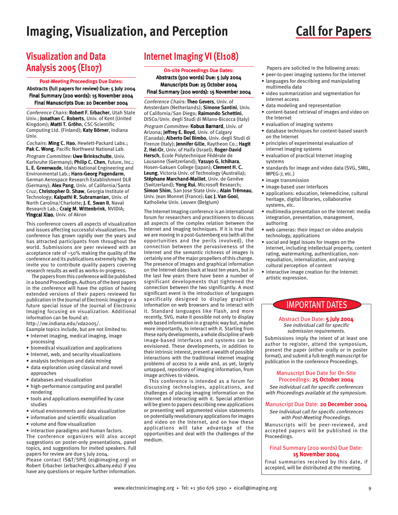## **Imaging, Visualization, and Perception Call for Papers**

## **Visualization and Data Analysis 2005 (EI107)**

#### Post-Meeting Proceedings Due Dates:

Abstracts (full papers for review) Due: 5 July 2004 Final Summary (200 words): 15 November 2004 Final Manuscripts Due: 20 December 2004

Conference Chairs: Robert F. Erbacher, Utah State Univ.; Jonathan C. Roberts, Univ. of Kent (United Kingdom); Matti T. Gröhn, CSC-Scientific Computing Ltd. (Finland); Katy Börner, Indiana Univ.

Cochairs: Ming C. Hao, Hewlett-Packard Labs.; Pak C. Wong, Pacific Northwest National Lab.

Program Committee: Uwe Brinkschulte, Univ. Karlsruhe (Germany); Philip C. Chen, Future, Inc.; L. E. Greenwade, Idaho National Engineering and Environmental Lab.; Hans-Georg Pagendarm, German Aerospace Research Establishment DLR (Germany); Alex Pang, Univ. of California/Santa Cruz; Christopher D. Shaw, Georgia Institute of Technology; Kalpathi R. Subramanian, Univ. of North Carolina/Charlotte; J. E. Swan II, Naval Research Lab.; Craig M. Wittenbrink, NVIDIA; Yingcai Xiao, Univ. of Akron

This conference covers all aspects of visualization and issues affecting successful visualizations. The conference has grown rapidly over the years and has attracted participants from throughout the world. Submissions are peer reviewed with an acceptance rate of ~50% making the quality of the conference and its publications extremely high. We invite you to contribute quality papers covering research results as well as works-in-progress.

The papers from this conference will be published in a bound Proceedings. Authors of the best papers in the conference will have the option of having extended versions of their papers reviewed for publication in the Journal of Electronic Imaging or a future special issue of the Journal of Electronic Imaging focusing on visualization. Additional information can be found at:

http://vw.indiana.edu/vda2005/.

Example topics include, but are not limited to: • Internet imaging, medical imaging, image

- processing
- biomedical visualization and applications
- Internet, web, and security visualizations
- analysis techniques and data mining
- data exploration using classical and novel approaches
- databases and visualization
- high-performance computing and parallel rendering
- tools and applications exemplified by case studies
- virtual environments and data visualization
- information and scientific visualization
- volume and flow visualization

• interaction paradigms and human factors. The conference organizers will also accept suggestions on poster-only presentations, panel topics, and suggestions for invited speakers. Full papers for review are due 5 July 2004.

Please contact IS&T/SPIE (ei@imaging.org) or Robert Erbacher (erbacher@cs.albany.edu) if you have any questions or require further information.

## **Internet Imaging VI (EI108)**

#### On-site Proceedings Due Dates:

Abstracts (500 words) Due: 5 July 2004 Manuscripts Due: 25 October 2004 Final Summary (200 words): 15 November 2004

Conference Chairs: Theo Gevers, Univ. of Amsterdam (Netherlands); Simone Santini, Univ. of California/San Diego; Raimondo Schettini, DISCo/Univ. degli Studi di Milano-Bicocca (Italy) Program Committee: Kobus Barnard, Univ. of Arizona; Jeffrey E. Boyd, Univ. of Calgary (Canada); Alberto Del Bimbo, Univ. degli Studi di Firenze (Italy); Jennifer Gille, Raytheon Co.; Hagit Z. Hel-Or, Univ. of Haifa (Israel); Roger-David Hersch, Ecole Polytechnique Fédérale de Lausanne (Switzerland); Yasuyo G. Ichihara, Hosen-Gakuen College (Japan); Clement H. C. Leung, Victoria Univ. of Technology (Australia); Stéphane Marchand-Maillet, Univ. de Genève (Switzerland); Yong Rui, Microsoft Research; Simon Shim, San Jose State Univ.; Alain Trémeau, Univ. Jean Monnet (France); Luc J. Van Gool, Katholieke Univ. Leuven (Belgium)

The Internet Imaging conference is an international forum for researchers and practitioners to discuss all aspects of the complex relation between the Internet and Imaging techniques. If it is true that we are moving in a post-Gutemberg era (with all the opportunities and the perils involved), the connection between the pervasiveness of the Internet and the semantic richness of images is certainly one of the major propellers of this change. The presence of images and graphical information on the Internet dates back at least ten years, but in the last few years there have been a number of significant developments that tightened the connection between the two significantly. A most significant event is the introduction of languages specifically designed to display graphical information on web browsers and to interact with it. Standard languages like Flash, and more recently, SVG, make it possible not only to display web based information in a graphic way but, maybe more importantly, to interact with it. Starting from these early developments, a whole discipline of web image-based interfaces and systems can be envisioned. These developments, in addition to their intrinsic interest, present a wealth of possible interactions with the traditional internet imaging problems of access to a wide and, as yet, largely untapped, repository of imaging information, from image archives to videos.

This conference is intended as a forum for discussing technologies, applications, and challenges of placing imaging information on the Internet and interacting with it. Special attention will be given to papers describing new applications or presenting well argumented vision statements on potentially revolutionary applications for images and video on the Internet, and on how these applications will take advantage of the opportunities and deal with the challenges of the medium.

- Papers are solicited in the following areas:
- peer-to-peer imaging systems for the internet • languages for describing and manipulating multimedia data
- video summarization and segmentation for Internet access
- data modeling and representation
- content-based retrieval of images and video on the Internet
- evaluation of imaging systems
- database techniques for content-based search on the Internet
- principles of experimental evaluation of internet imaging systems
- evaluation of practical Internet imaging systems
- standards for image and video data (SVG, SMIL, MPEG-7, etc.)
- image transmission
- image-based user interfaces
- applications: education, telemedicine, cultural heritage, digital libraries, collaborative systems, etc.
- multimedia presentation on the Internet: media integration, presentation, management, authoring
- web cameras: their impact on video analysis technology, applications
- social and legal issues for images on the Internet, including intellectual property, content rating, watermarking, authentication, nonrepudiation, internalization, and varying cultural perception of content
- interactive image creation for the Internet: artistic expression.

### IMPORTANT DATES

#### Abstract Due Date: 5 July 2004 See individual call for specific submission requirements.

Submissions imply the intent of at least one author to register, attend the symposium, present the paper (either orally or in poster format), and submit a full-length manuscript for publication in the conference Proceedings.

#### Manuscript Due Date for On-Site Proceedings: 25 October 2004

See individual call for specific conferences with Proceedings available at the symposium.

#### Manuscript Due Date: 20 December 2004

See individual call for specific conferences with Post-Meeting Proceedings. Manuscripts will be peer-reviewed, and

accepted papers will be published in the Proceedings.

#### Final Summary (200 words) Due Date: 15 November 2004

Final summaries received by this date, if accepted, will be distributed at the meeting.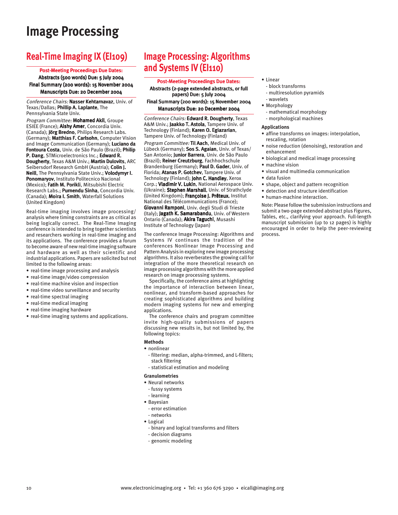## **Image Processing**

## **Real-Time Imaging IX (EI109)**

#### Post-Meeting Proceedings Due Dates:

Abstracts (500 words) Due: 5 July 2004 Final Summary (200 words): 15 November 2004 Manuscripts Due: 20 December 2004

Conference Chairs: Nasser Kehtarnavaz, Univ. of Texas/Dallas; Phillip A. Laplante, The Pennsylvania State Univ.

Program Committee: Mohamed Akil, Groupe ESIEE (France); Aishy Amer, Concordia Univ. (Canada); Jörg Bredno, Philips Research Labs. (Germany); Matthias F. Carlsohn, Computer Vision and Image Communication (Germany); Luciano da Fontoura Costa, Univ. de São Paulo (Brazil); Philip P. Dang, STMicroelectronics Inc.; Edward R. Dougherty, Texas A&M Univ.; Martin Dulovits, ARC Seibersdorf Research GmbH (Austria); Colin J. Neill, The Pennsylvania State Univ.; Volodymyr I. Ponomaryov, Instituto Politecnico Nacional (Mexico); Fatih M. Porikli, Mitsubishi Electric Research Labs.; Purnendu Sinha, Concordia Univ. (Canada); Moira I. Smith, Waterfall Solutions (United Kingdom)

Real-time imaging involves image processing/ analysis where timing constraints are as critical as being logically correct. The Real-Time Imaging conference is intended to bring together scientists and researchers working in real-time imaging and its applications. The conference provides a forum to become aware of new real-time imaging software and hardware as well as their scientific and industrial applications. Papers are solicited but not limited to the following areas:

- real-time image processing and analysis
- real-time image/video compression
- real-time machine vision and inspection
- real-time video surveillance and security
- real-time spectral imaging
- real-time medical imaging
- real-time imaging hardware
- real-time imaging systems and applications.

## **Image Processing: Algorithms and Systems IV (EI110)**

Post-Meeting Proceedings Due Dates: Abstracts (2-page extended abstracts, or full papers) Due: 5 July 2004 Final Summary (200 words): 15 November 2004 Manuscripts Due: 20 December 2004

Conference Chairs: Edward R. Dougherty, Texas A&M Univ.; Jaakko T. Astola, Tampere Univ. of Technology (Finland); Karen O. Egiazarian, Tampere Univ. of Technology (Finland) Program Committee: Til Aach, Medical Univ. of Lübeck (Germany); Sos S. Agaian, Univ. of Texas/ San Antonio; Junior Barrera, Univ. de São Paulo (Brazil); Reiner Creutzburg, Fachhochschule Brandenburg (Germany); Paul D. Gader, Univ. of Florida; Atanas P. Gotchev, Tampere Univ. of Technology (Finland); John C. Handley, Xerox Corp.; Vladimir V. Lukin, National Aerospace Univ. (Ukraine); Stephen Marshall, Univ. of Strathclyde (United Kingdom); Françoise J. Prêteux, Institut National des Télécommunications (France); Giovanni Ramponi, Univ. degli Studi di Trieste (Italy); Jagath K. Samarabandu, Univ. of Western Ontario (Canada); Akira Taguchi, Musashi Institute of Technology (Japan)

The conference Image Processing: Algorithms and Systems IV continues the tradition of the conferences Nonlinear Image Processing and Pattern Analysis in exploring new image processing algorithms. It also reverberates the growing call for integration of the more theoretical research on image processing algorithms with the more applied research on image processing systems.

Specifically, the conference aims at highlighting the importance of interaction between linear, nonlinear, and transform-based approaches for creating sophisticated algorithms and building modern imaging systems for new and emerging applications.

The conference chairs and program committee invite high-quality submissions of papers discussing new results in, but not limited by, the following topics:

#### **Methods**

#### • nonlinear

- filtering: median, alpha-trimmed, and L-filters; stack filtering
- statistical estimation and modeling

#### **Granulometries**

- Neural networks
- fussy systems
- learning
- Bayesian
- error estimation
- networks
- Logical
	- binary and logical transforms and filters
- decision diagrams
- genomic modeling
- Linear
	- block transforms
	- multiresolution pyramids
- wavelets
- Morphology
- mathematical morphology - morphological machines

#### **Applications**

- affine transforms on images: interpolation, rescaling, rotation
- noise reduction (denoising), restoration and enhancement
- biological and medical image processing
- machine vision
- visual and multimedia communication
- data fusion
- shape, object and pattern recognition
- detection and structure identification
- human-machine interaction.

Note: Please follow the submission instructions and submit a two-page extended abstract plus Figures, Tables, etc., clarifying your approach. Full-length manuscript submission (up to 12 pages) is highly encouraged in order to help the peer-reviewing process.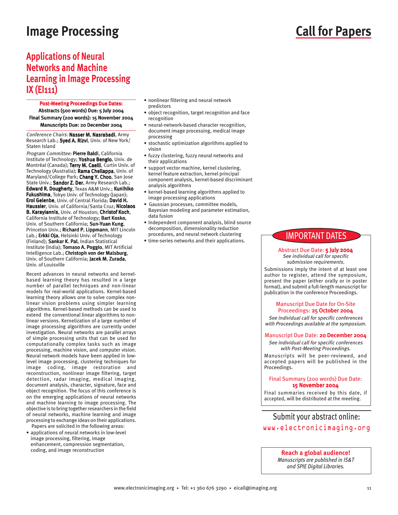## **Image Processing Call for Papers**

### **Applications of Neural Networks and Machine Learning in Image Processing IX (EI111)**

Post-Meeting Proceedings Due Dates:

Abstracts (500 words) Due: 5 July 2004 Final Summary (200 words): 15 November 2004 Manuscripts Due: 20 December 2004

Conference Chairs: Nasser M. Nasrabadi, Army Research Lab.; Syed A. Rizvi, Univ. of New York/ Staten Island

Program Committee: Pierre Baldi, California Institute of Technology; Yoshua Bengio, Univ. de Montréal (Canada); Terry M. Caelli, Curtin Univ. of Technology (Australia); Rama Chellappa, Univ. of Maryland/College Park; Chang Y. Choo, San Jose State Univ.; Sandor Z. Der, Army Research Lab.; Edward R. Dougherty, Texas A&M Univ.; Kunihiko Fukushima, Tokyo Univ. of Technology (Japan); Erol Gelenbe, Univ. of Central Florida; David H. Haussler, Univ. of California/Santa Cruz; Nicolaos B. Karayiannis, Univ. of Houston; Christof Koch, California Institute of Technology; Bart Kosko, Univ. of Southern California; Sun-Yuan Kung, Princeton Univ.; Richard P. Lippmann, MIT Lincoln Lab.; Erkki Oja, Helsinki Univ. of Technology (Finland); Sankar K. Pal, Indian Statistical Institute (India); Tomaso A. Poggio, MIT Artificial Intelligence Lab.; Christoph von der Malsburg, Univ. of Southern California; Jacek M. Zurada, Univ. of Louisville

Recent advances in neural networks and kernelbased learning theory has resulted in a large number of parallel techniques and non-linear models for real-world applications. Kernel-based learning theory allows one to solve complex nonlinear vision problems using simpler learning algorithms. Kernel-based methods can be used to extend the conventional linear algorithms to nonlinear versions. Kernelization of a large number of image processing algorithms are currently under investigation. Neural networks are parallel arrays of simple processing units that can be used for computationally complex tasks such as image processing, machine vision, and computer vision. Neural network models have been applied in lowlevel image processing, clustering techniques for image coding, image restoration and reconstruction, nonlinear image filtering, target detection, radar imaging, medical imaging, document analysis, character, signature, face and object recognition. The focus of this conference is on the emerging applications of neural networks and machine learning to image processing. The objective is to bring together researchers in the field of neural networks, machine learning and image processing to exchange ideas on their applications.

Papers are solicited in the following areas:

• applications of neural networks in low-level image processing, filtering, image enhancement, compression segmentation, coding, and image reconstruction

- nonlinear filtering and neural network predictors
- object recognition, target recognition and face recognition
- neural-network-based character recognition, document image processing, medical image processing
- stochastic optimization algorithms applied to vision
- fuzzy clustering, fuzzy neural networks and their applications
- support vector machine, kernel clustering, kernel feature extraction, kernel principal component analysis, kernel-based discriminant analysis algorithms
- kernel-based learning algorithms applied to image processing applications
- Gaussian processes, committee models, Bayesian modeling and parameter estimation, data fusion
- Independent component analysis, blind source decomposition, dimensionality reduction procedures, and neural network clustering
- time-series networks and their applications.

### IMPORTANT DATES

#### Abstract Due Date: 5 July 2004 See individual call for specific submission requirements.

Submissions imply the intent of at least one author to register, attend the symposium, present the paper (either orally or in poster format), and submit a full-length manuscript for publication in the conference Proceedings.

#### Manuscript Due Date for On-Site Proceedings: 25 October 2004

See individual call for specific conferences with Proceedings available at the symposium.

#### Manuscript Due Date: 20 December 2004

See individual call for specific conferences with Post-Meeting Proceedings. Manuscripts will be peer-reviewed, and accepted papers will be published in the Proceedings.

#### Final Summary (200 words) Due Date: 15 November 2004

Final summaries received by this date, if accepted, will be distributed at the meeting.

### Submit your abstract online: www.electronicimaging.org

#### **Reach a global audience!**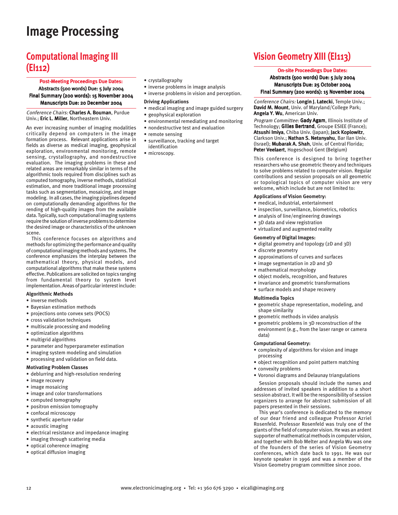# **Image Processing**

## **Computational Imaging III (EI112)**

#### Post-Meeting Proceedings Due Dates: Abstracts (500 words) Due: 5 July 2004 Final Summary (200 words): 15 November 2004 Manuscripts Due: 20 December 2004

Conference Chairs: Charles A. Bouman, Purdue Univ.; Eric L. Miller, Northeastern Univ.

An ever increasing number of imaging modalities critically depend on computers in the image formation process. Relevant applications arise in fields as diverse as medical imaging, geophysical exploration, environmental monitoring, remote sensing, crystallography, and nondestructive evaluation. The imaging problems in these and related areas are remarkably similar in terms of the algorithmic tools required from disciplines such as computed tomography, inverse methods, statistical estimation, and more traditional image processing tasks such as segmentation, mosaicing, and image modeling. In all cases, the imaging pipelines depend on computationally demanding algorithms for the rending of high-quality images from the available data. Typically, such computational imaging systems require the solution of inverse problems to determine the desired image or characteristics of the unknown scene.

This conference focuses on algorithms and methods for optimizing the performance and quality of computational imaging methods and systems. The conference emphasizes the interplay between the mathematical theory, physical models, and computational algorithms that make these systems effective. Publications are solicited on topics ranging from fundamental theory to system level implementation. Areas of particular interest include:

#### **Algorithmic Methods**

- inverse methods
- Bayesian estimation methods
- projections onto convex sets (POCS)
- cross validation techniques
- multiscale processing and modeling
- optimization algorithms
- multigrid algorithms
- parameter and hyperparameter estimation
- imaging system modeling and simulation
- processing and validation on field data.

#### **Motivating Problem Classes**

- deblurring and high-resolution rendering
- image recovery
- image mosaicing
- image and color transformations
- computed tomography
- positron emission tomography
- confocal microscopy
- synthetic aperture radar
- acoustic imaging
- electrical resistance and impedance imaging
- imaging through scattering media
- optical coherence imaging
- optical diffusion imaging
- crystallography
- inverse problems in image analysis
- inverse problems in vision and perception.

#### **Driving Applications**

- medical imaging and image guided surgery
- geophysical exploration
- environmental remediating and monitoring
- nondestructive test and evaluation
- remote sensing
- surveillance, tracking and target identification
- microscopy.

## **Vision Geometry XIII (EI113)**

#### On-site Proceedings Due Dates:

Abstracts (500 words) Due: 5 July 2004 Manuscripts Due: 25 October 2004 Final Summary (200 words): 15 November 2004

Conference Chairs: Longin I. Latecki. Temple Univ.: David M. Mount, Univ. of Maryland/College Park; Angela Y. Wu, American Univ.

Program Committee: Gady Agam, Illinois Institute of Technology; Gilles Bertrand, Groupe ESIEE (France); Atsushi Imiya, Chiba Univ. (Japan); Jack Koplowitz, Clarkson Univ.; Nathan S. Netanyahu, Bar Ilan Univ. (Israel); Mubarak A. Shah, Univ. of Central Florida; Peter Veelaert, Hogeschool Gent (Belgium)

This conference is designed to bring together researchers who use geometric theory and techniques to solve problems related to computer vision. Regular contributions and session proposals on all geometric or topological topics of computer vision are very welcome, which include but are not limited to:

#### **Applications of Vision Geometry:**

- medical, industrial, entertainment
- inspection, surveillance, biometrics, robotics
- analysis of line/engineering drawings
- 3D data and view registration
- virtualized and augmented reality

#### **Geometry of Digital Images:**

- digital geometry and topology (2D and 3D)
- discrete geometry
- approximations of curves and surfaces
- image segmentation in 2D and 3D
- mathematical morphology
- object models, recognition, and features
- invariance and geometric transformations
- surface models and shape recovery

#### **Multimedia Topics**

- geometric shape representation, modeling, and shape similarity
- geometric methods in video analysis
- geometric problems in 3D reconstruction of the environment (e.g., from the laser range or camera data)

#### **Computational Geometry:**

- complexity of algorithms for vision and image processing
- object recognition and point pattern matching
- convexity problems
- Voronoi diagrams and Delaunay triangulations

Session proposals should include the names and addresses of invited speakers in addition to a short session abstract. It will be the responsibility of session organizers to arrange for abstract submission of all papers presented in their sessions.

This year's conference is dedicated to the memory of our dear friend and colleague Professor Azriel Rosenfeld. Professor Rosenfeld was truly one of the giants of the field of computer vision. He was an ardent supporter of mathematical methods in computer vision, and together with Bob Melter and Angela Wu was one of the founders of the series of Vision Geometry conferences, which date back to 1991. He was our keynote speaker in 1996 and was a member of the Vision Geometry program committee since 2000.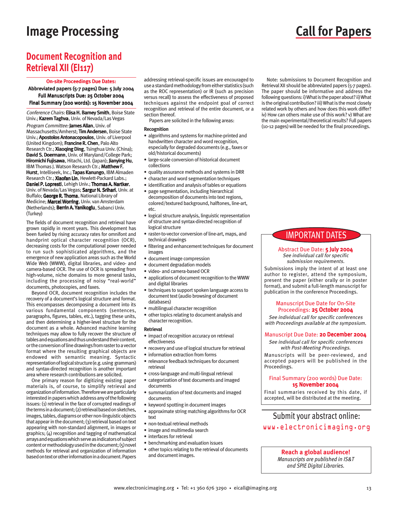## **Image Processing Call for Papers**

## **Document Recognition and Retrieval XII (EI117)**

#### On-site Proceedings Due Dates:

Abbreviated papers (5-7 pages) Due: 5 July 2004 Full Manuscripts Due: 25 October 2004 Final Summary (200 words): 15 November 2004

Conference Chairs: Elisa H. Barney Smith, Boise State Univ.; Kazem Taghva, Univ. of Nevada/Las Vegas Program Committee: James Allan, Univ. of Massachusetts/Amherst; Tim Andersen, Boise State Univ.; Apostolos Antonacopoulos, Univ. of Liverpool (United Kingdom); Francine R. Chen, Palo Alto Research Ctr.; Xiaoqing Ding, Tsinghua Univ. (China); David S. Doermann, Univ. of Maryland/College Park; Hiromichi Fujisawa, Hitachi, Ltd. (Japan); Jianying Hu, IBM Thomas J. Watson Research Ctr.; Matthew F. Hurst, Intelliseek, Inc.; Tapas Kanungo, IBM Almaden Research Ctr.; Xiaofan Lin, Hewlett-Packard Labs.; Daniel P. Lopresti, Lehigh Univ.; Thomas A. Nartker, Univ. of Nevada/Las Vegas; Sargur N. Srihari, Univ. at Buffalo; George R. Thoma, National Library of Medicine; Marcel Worring, Univ. van Amsterdam (Netherlands); Berrin A. Yanikoglu, Sabanci Univ. (Turkey)

The fields of document recognition and retrieval have grown rapidly in recent years. This development has been fueled by rising accuracy rates for omnifont and handprint optical character recognition (OCR), decreasing costs for the computational power needed to run such sophisticated algorithms, and the emergence of new application areas such as the World Wide Web (WWW), digital libraries, and video- and camera-based OCR. The use of OCR is spreading from high-volume, niche domains to more general tasks, including the processing of noisy "real-world" documents, photocopies, and faxes.

Beyond OCR, document recognition includes the recovery of a document's logical structure and format. This encompasses decomposing a document into its various fundamental components (sentences, paragraphs, figures, tables, etc.), tagging these units, and then determining a higher-level structure for the document as a whole. Advanced machine learning techniques may allow to fully recover the structure of tables and equations and thus understand their content, or the conversion of line drawings from raster to a vector format where the resulting graphical objects are endowed with semantic meaning. Syntactic representation of logical structure (e.g. using grammars) and syntax-directed recognition is another important area where research contributions are solicited.

One primary reason for digitizing existing paper materials is, of course, to simplify retrieval and organization of information. Therefore we are particularly interested in papers which address any of the following issues: (1) retrieval in the face of corrupted readings of the terms in a document; (2) retrieval based on sketches, images, tables, diagrams or other non-linguistic objects that appear in the document; (3) retrieval based on text appearing with non-standard alignment, in images or graphics; (4) recognition and tagging of mathematical arrays and equations which serve as indicators of subject content or methodology used in the document; (5) novel methods for retrieval and organization of information based on text or other information in a document. Papers

addressing retrieval-specific issues are encouraged to use a standard methodology from either statistics (such as the ROC representation) or IR (such as precision versus recall) to assess the effectiveness of proposed techniques against the endpoint goal of correct recognition and retrieval of the entire document, or a section thereof.

Papers are solicited in the following areas:

#### **Recognition**

- algorithms and systems for machine-printed and handwritten character and word recognition, especially for degraded documents (e.g., faxes or old/historical documents)
- large-scale conversion of historical document collections
- quality assurance methods and systems in DRR
- character and word segmentation techniques
- identification and analysis of tables or equations
- page segmentation, including hierarchical decomposition of documents into text regions, colored/textured background, halftones, line-art, etc.
- logical structure analysis, linguistic representation of structure and syntax-directed recognition of logical structure
- raster-to-vector conversion of line-art, maps, and technical drawings
- filtering and enhancement techniques for document images
- document image compression
- document degradation models
- video- and camera-based OCR
- applications of document recognition to the WWW and digital libraries
- techniques to support spoken language access to document text (audio browsing of document databases)
- multilingual character recognition
- other topics relating to document analysis and character recognition.

#### **Retrieval**

- impact of recognition accuracy on retrieval effectiveness
- recovery and use of logical structure for retrieval
- information extraction from forms
- relevance feedback techniques for document retrieval
- cross-language and multi-lingual retrieval
- categorization of text documents and imaged documents
- summarization of text documents and imaged documents
- keyword spotting in document images
- approximate string matching algorithms for OCR text
- non-textual retrieval methods
- image and multimedia search
- interfaces for retrieval
- benchmarking and evaluation issues
- other topics relating to the retrieval of documents and document images.

#### Note: submissions to Document Recognition and Retrieval XII should be abbreviated papers (5-7 pages). The paper should be informative and address the following questions: i) What is the paper about? ii) What is the original contribution? iii) What is the most closely related work by others and how does this work differ? iv) How can others make use of this work? v) What are

the main experimental/theoretical results? Full papers (10-12 pages) will be needed for the final proceedings.

### IMPORTANT DATES

#### Abstract Due Date: 5 July 2004 See individual call for specific submission requirements.

Submissions imply the intent of at least one author to register, attend the symposium, present the paper (either orally or in poster format), and submit a full-length manuscript for publication in the conference Proceedings.

#### Manuscript Due Date for On-Site Proceedings: 25 October 2004

See individual call for specific conferences with Proceedings available at the symposium.

#### Manuscript Due Date: 20 December 2004

See individual call for specific conferences with Post-Meeting Proceedings.

Manuscripts will be peer-reviewed, and accepted papers will be published in the Proceedings.

#### Final Summary (200 words) Due Date: 15 November 2004

Final summaries received by this date, if accepted, will be distributed at the meeting.

### Submit your abstract online: www.electronicimaging.org

#### **Reach a global audience!**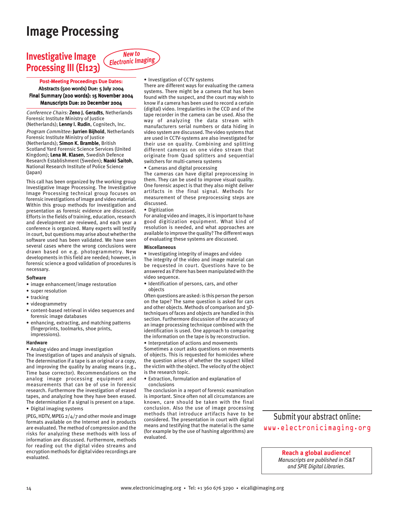## **Image Processing**

## **Investigative Image Processing III (EI123)**



#### Post-Meeting Proceedings Due Dates: Abstracts (500 words) Due: 5 July 2004 Final Summary (200 words): 15 November 2004 Manuscripts Due: 20 December 2004

Conference Chairs: Zeno J. Geradts, Netherlands Forensic Institute Ministry of Justice (Netherlands); Lenny I. Rudin, Cognitech, Inc. Program Committee: Jurrien Bijhold, Netherlands Forensic Institute Ministry of Justice (Netherlands); Simon K. Bramble, British Scotland Yard Forensic Science Services (United Kingdom); Lena M. Klasen, Swedish Defence Research Establishment (Sweden); Naoki Saitoh, National Research Institute of Police Science (Japan)

This call has been organized by the working group Investigative Image Processing. The Investigative Image Processing technical group focuses on forensic investigations of image and video material. Within this group methods for investigation and presentation as forensic evidence are discussed. Efforts in the fields of training, education, research and development are reviewed, and each year a conference is organized. Many experts will testify in court, but questions may arise about whether the software used has been validated. We have seen several cases where the wrong conclusions were drawn based on e.g. photogrammetry. New developments in this field are needed; however, in forensic science a good validation of procedures is necessary.

#### **Software**

- image enhancement/image restoration
- super resolution
- tracking
- videogrammetry
- content-based retrieval in video sequences and forensic image databases
- enhancing, extracting, and matching patterns (fingerprints, toolmarks, shoe prints, impressions).

#### **Hardware**

• Analog video and image investigation The investigation of tapes and analysis of signals. The determination if a tape is an original or a copy, and improving the quality by analog means (e.g., Time base corrector). Recommendations on the analog image processing equipment and measurements that can be of use in forensic research. Furthermore the investigation of erased tapes, and analyzing how they have been erased. The determination if a signal is present on a tape. • Digital imaging systems

JPEG, HDTV, MPEG 2/4/7 and other movie and image formats available on the Internet and in products are evaluated. The method of compression and the risks for analyzing these methods with loss of information are discussed. Furthermore, methods for reading out the digital video streams and encryption methods for digital video recordings are evaluated.

#### • Investigation of CCTV systems

There are different ways for evaluating the camera systems. There might be a camera that has been found with the suspect, and the court may wish to know if a camera has been used to record a certain (digital) video. Irregularities in the CCD and of the tape recorder in the camera can be used. Also the way of analyzing the data stream with manufacturers serial numbers or data hiding in video system are discussed. The video systems that are used in CCTV-systems are also investigated for their use on quality. Combining and splitting different cameras on one video stream that originate from Quad splitters and sequential switchers for multi-camera systems

• Cameras and digital processing

The cameras can have digital preprocessing in them. They can be used to improve visual quality. One forensic aspect is that they also might deliver artifacts in the final signal. Methods for measurement of these preprocessing steps are discussed.

• Digitization

For analog video and images, it is important to have good digitization equipment. What kind of resolution is needed, and what approaches are available to improve the quality? The different ways of evaluating these systems are discussed.

#### **Miscellaneous**

• Investigating integrity of images and video The integrity of the video and image material can be requested in court. Questions have to be answered as if there has been manipulated with the video sequence.

• Identification of persons, cars, and other objects

Often questions are asked: is this person the person on the tape? The same question is asked for cars and other objects. Methods of comparison and 3Dtechniques of faces and objects are handled in this section. Furthermore discussion of the accuracy of an image processing technique combined with the identification is used. One approach to comparing the information on the tape is by reconstruction. • Interpretation of actions and movements

Sometimes a court asks questions on movements of objects. This is requested for homicides where the question arises of whether the suspect killed the victim with the object. The velocity of the object is the research topic.

• Extraction, formulation and explanation of conclusions

The conclusion in a report of forensic examination is important. Since often not all circumstances are known, care should be taken with the final conclusion. Also the use of image processing methods that introduce artifacts have to be considered. The presentation in court with digital means and testifying that the material is the same (for example by the use of hashing algorithms) are evaluated.

Submit your abstract online: www.electronicimaging.org

> **Reach a global audience!** *Manuscripts are published in IS&T*

*and SPIE Digital Libraries.*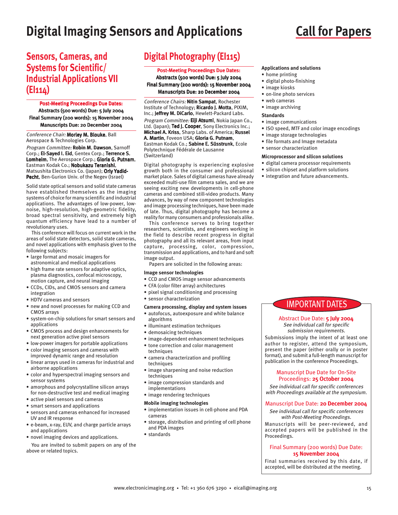# **Digital Imaging Sensors and Applications**

## **Call for Papers**

### **Sensors, Cameras, and Systems for Scientific/ Industrial Applications VII (EI114)**

#### Post-Meeting Proceedings Due Dates: Abstracts (500 words) Due: 5 July 2004

Final Summary (200 words): 15 November 2004 Manuscripts Due: 20 December 2004

Conference Chair: Morley M. Blouke, Ball Aerospace & Technologies Corp.

Program Committee: Robin M. Dawson, Sarnoff Corp.; El-Sayed I. Eid, Gentex Corp.; Terrence S. Lomheim, The Aerospace Corp.; Gloria G. Putnam, Eastman Kodak Co.; Nobukazu Teranishi, Matsushita Electronics Co. (Japan); Orly Yadid-Pecht, Ben-Gurion Univ. of the Negev (Israel)

Solid state optical sensors and solid state cameras have established themselves as the imaging systems of choice for many scientific and industrial applications. The advantages of low-power, lownoise, high-resolution, high-geometric fidelity, broad spectral sensitivity, and extremely high quantum efficiency have lead to a number of revolutionary uses.

This conference will focus on current work in the areas of solid state detectors, solid state cameras, and novel applications with emphasis given to the following subjects:

- large format and mosaic imagers for astronomical and medical applications
- high frame rate sensors for adaptive optics, plasma diagnostics, confocal microscopy, motion capture, and neural imaging
- CCDs, CIDs, and CMOS sensors and camera integration
- HDTV cameras and sensors
- new and novel processes for making CCD and CMOS arrays
- system-on-chip solutions for smart sensors and applications
- CMOS process and design enhancements for next generation active pixel sensors
- low-power imagers for portable applications
- color imaging sensors and cameras with improved dynamic range and resolution
- linear arrays used in cameras for industrial and airborne applications
- color and hyperspectral imaging sensors and sensor systems
- amorphous and polycrystalline silicon arrays for non-destructive test and medical imaging
- active pixel sensors and cameras
- smart sensors and applications
- sensors and cameras enhanced for increased UV and IR response
- e-beam, x-ray, EUV, and charge particle arrays and applications
- novel imaging devices and applications.

You are invited to submit papers on any of the above or related topics.

## **Digital Photography (EI115)**

#### Post-Meeting Proceedings Due Dates:

Abstracts (500 words) Due: 5 July 2004 Final Summary (200 words): 15 November 2004 Manuscripts Due: 20 December 2004

Conference Chairs: Nitin Sampat, Rochester Institute of Technology; Ricardo J. Motta, PIXIM, Inc.; Jeffrey M. DiCarlo, Hewlett-Packard Labs. Program Committee: Eiji Atsumi, Nokia Japan Co., Ltd. (Japan); Ted J. Cooper, Sony Electronics Inc.; Michael A. Kriss, Sharp Labs. of America; Russel A. Martin, Foveon USA; Gloria G. Putnam, Eastman Kodak Co.; Sabine E. Süsstrunk, Ecole Polytechnique Fédérale de Lausanne (Switzerland)

Digital photography is experiencing explosive growth both in the consumer and professional market place. Sales of digital cameras have already exceeded multi-use film camera sales, and we are seeing exciting new developments in cell-phone cameras and combined still-video products. Many advances, by way of new component technologies and image processing techniques, have been made of late. Thus, digital photography has become a reality for many consumers and professionals alike.

This conference serves to bring together researchers, scientists, and engineers working in the field to describe recent progress in digital photography and all its relevant areas, from input capture, processing, color, compression, transmission and applications, and to hard and soft image output.

Papers are solicited in the following areas:

#### **Image sensor technologies**

- CCD and CMOS image sensor advancements
- CFA (color filter array) architectures
- pixel signal conditioning and processing
- sensor characterization

#### **Camera processing, display and system issues**

- autofocus, autoexposure and white balance algorithms
- illuminant estimation techniques
- demosaicing techniques
- image-dependent enhancement techniques
- tone correction and color management techniques
- camera characterization and profiling techniques
- image sharpening and noise reduction techniques
- image compression standards and implementations
- image rendering techniques

#### **Mobile imaging technologies**

- implementation issues in cell-phone and PDA cameras
- storage, distribution and printing of cell phone and PDA images
- standards

#### **Applications and solutions**

- home printing
- digital photo-finishing
- image kiosks
- on-line photo services
- web cameras
- image archiving

#### **Standards**

- image communications
- ISO speed, MTF and color image encodings
- image storage technologies
- file formats and Image metadata
- sensor characterization

#### **Microprocessor and silicon solutions**

- digital camera processor requirements
- silicon chipset and platform solutions
- integration and future advancements.

### IMPORTANT DATES

#### Abstract Due Date: 5 July 2004 See individual call for specific

submission requirements. Submissions imply the intent of at least one author to register, attend the symposium, present the paper (either orally or in poster format), and submit a full-length manuscript for publication in the conference Proceedings.

#### Manuscript Due Date for On-Site Proceedings: 25 October 2004

See individual call for specific conferences with Proceedings available at the symposium.

#### Manuscript Due Date: 20 December 2004

See individual call for specific conferences with Post-Meeting Proceedings.

#### Manuscripts will be peer-reviewed, and accepted papers will be published in the

Proceedings.

#### Final Summary (200 words) Due Date: 15 November 2004

Final summaries received by this date, if accepted, will be distributed at the meeting.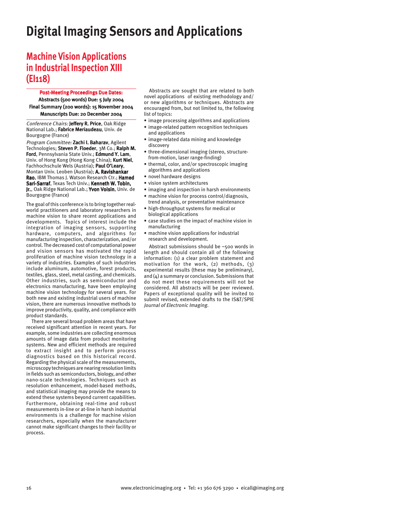## **Digital Imaging Sensors and Applications**

## **Machine Vision Applications in Industrial Inspection XIII (EI118)**

Post-Meeting Proceedings Due Dates: Abstracts (500 words) Due: 5 July 2004 Final Summary (200 words): 15 November 2004 Manuscripts Due: 20 December 2004

Conference Chairs: Jeffery R. Price, Oak Ridge National Lab.; Fabrice Meriaudeau, Univ. de Bourgogne (France)

Program Committee: Zachi I. Baharav, Agilent Technologies; Steven P. Floeder, 3M Co.; Ralph M. Ford, Pennsylvania State Univ.; Edmund Y. Lam, Univ. of Hong Kong (Hong Kong China); Kurt Niel, Fachhochschule Wels (Austria); Paul O'Leary, Montan Univ. Leoben (Austria); A. Ravishankar Rao, IBM Thomas J. Watson Research Ctr.; Hamed Sari-Sarraf, Texas Tech Univ.; Kenneth W. Tobin, Jr., Oak Ridge National Lab.; Yvon Voisin, Univ. de Bourgogne (France)

The goal of this conference is to bring together realworld practitioners and laboratory researchers in machine vision to share recent applications and developments. Topics of interest include the integration of imaging sensors, supporting hardware, computers, and algorithms for manufacturing inspection, characterization, and/or control. The decreased cost of computational power and vision sensors has motivated the rapid proliferation of machine vision technology in a variety of industries. Examples of such industries include aluminum, automotive, forest products, textiles, glass, steel, metal casting, and chemicals. Other industries, such as semiconductor and electronics manufacturing, have been employing machine vision technology for several years. For both new and existing industrial users of machine vision, there are numerous innovative methods to improve productivity, quality, and compliance with product standards.

There are several broad problem areas that have received significant attention in recent years. For example, some industries are collecting enormous amounts of image data from product monitoring systems. New and efficient methods are required to extract insight and to perform process diagnostics based on this historical record. Regarding the physical scale of the measurements, microscopy techniques are nearing resolution limits in fields such as semiconductors, biology, and other nano-scale technologies. Techniques such as resolution enhancement, model-based methods, and statistical imaging may provide the means to extend these systems beyond current capabilities. Furthermore, obtaining real-time and robust measurements in-line or at-line in harsh industrial environments is a challenge for machine vision researchers, especially when the manufacturer cannot make significant changes to their facility or process.

Abstracts are sought that are related to both novel applications of existing methodology and/ or new algorithms or techniques. Abstracts are encouraged from, but not limited to, the following list of topics:

- image processing algorithms and applications
- image-related pattern recognition techniques and applications
- image-related data mining and knowledge discovery
- three-dimensional imaging (stereo, structurefrom-motion, laser range-finding)
- thermal, color, and/or spectroscopic imaging algorithms and applications
- novel hardware designs
- vision system architectures
- imaging and inspection in harsh environments
- machine vision for process control/diagnosis, trend analysis, or preventative maintenance
- high-throughput systems for medical or biological applications
- case studies on the impact of machine vision in manufacturing
- machine vision applications for industrial research and development.

Abstract submissions should be ~500 words in length and should contain all of the following information: (1) a clear problem statement and motivation for the work, (2) methods, (3) experimental results (these may be preliminary), and (4) a summary or conclusion. Submissions that do not meet these requirements will not be considered. All abstracts will be peer reviewed. Papers of exceptional quality will be invited to submit revised, extended drafts to the IS&T/SPIE Journal of Electronic Imaging.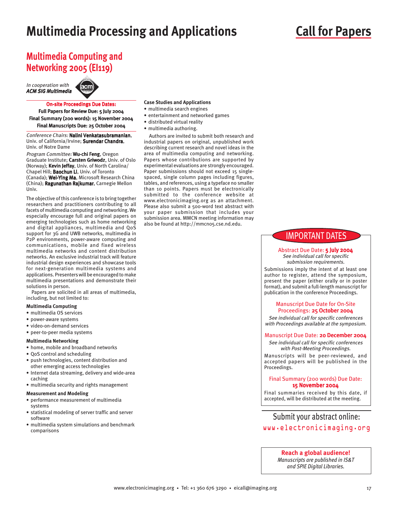## **Multimedia Processing and Applications**

## **Call for Papers**

## **Multimedia Computing and Networking 2005 (EI119)**

In cooperation with ACM SIG Multimedia



#### On-site Proceedings Due Dates:

Full Papers for Review Due: 5 July 2004 Final Summary (200 words): 15 November 2004 Final Manuscripts Due: 25 October 2004

Conference Chairs: Nalini Venkatasubramanian, Univ. of California/Irvine; Surendar Chandra, Univ. of Notre Dame

Program Committee: Wu-chi Feng, Oregon Graduate Institute; Carsten Griwodz, Univ. of Oslo (Norway); Kevin Jeffay, Univ. of North Carolina/ Chapel Hill; Baochun Li, Univ. of Toronto (Canada); Wei-Ying Ma, Microsoft Research China (China); Ragunathan Rajkumar, Carnegie Mellon Univ.

The objective of this conference is to bring together researchers and practitioners contributing to all facets of multimedia computing and networking. We especially encourage full and original papers on emerging technologies such as home networking and digital appliances, multimedia and QoS support for 3G and UWB networks, multimedia in P2P environments, power-aware computing and communications, mobile and fixed wireless multimedia networks and content distribution networks. An exclusive industrial track will feature industrial design experiences and showcase tools for next-generation multimedia systems and applications. Presenters will be encouraged to make multimedia presentations and demonstrate their solutions in person.

Papers are solicited in all areas of multimedia, including, but not limited to:

#### **Multimedia Computing**

- multimedia OS services
- power-aware systems
- video-on-demand services
- peer-to-peer media systems

### **Multimedia Networking**

- home, mobile and broadband networks
- QoS control and scheduling
- push technologies, content distribution and other emerging access technologies
- Internet data streaming, delivery and wide-area caching
- multimedia security and rights management
- **Measurement and Modeling**
- performance measurement of multimedia systems
- statistical modeling of server traffic and server software
- multimedia system simulations and benchmark comparisons

#### **Case Studies and Applications**

- multimedia search engines
- entertainment and networked games
- distributed virtual reality
- multimedia authoring.

Authors are invited to submit both research and industrial papers on original, unpublished work describing current research and novel ideas in the area of multimedia computing and networking. Papers whose contributions are supported by experimental evaluations are strongly encouraged. Paper submissions should not exceed 15 singlespaced, single column pages including figures, tables, and references, using a typeface no smaller than 10 points. Papers must be electronically submitted to the conference website at www.electronicimaging.org as an attachment. Please also submit a 500-word text abstract with your paper submission that includes your submission area. MMCN meeting information may also be found at http://mmcn05.cse.nd.edu.

### IMPORTANT DATES

#### Abstract Due Date: 5 July 2004 See individual call for specific submission requirements.

Submissions imply the intent of at least one author to register, attend the symposium, present the paper (either orally or in poster format), and submit a full-length manuscript for publication in the conference Proceedings.

#### Manuscript Due Date for On-Site Proceedings: 25 October 2004

See individual call for specific conferences with Proceedings available at the symposium.

#### Manuscript Due Date: 20 December 2004

See individual call for specific conferences with Post-Meeting Proceedings. Manuscripts will be peer-reviewed, and accepted papers will be published in the Proceedings.

#### Final Summary (200 words) Due Date: 15 November 2004

Final summaries received by this date, if accepted, will be distributed at the meeting.

### Submit your abstract online: www.electronicimaging.org

#### **Reach a global audience!**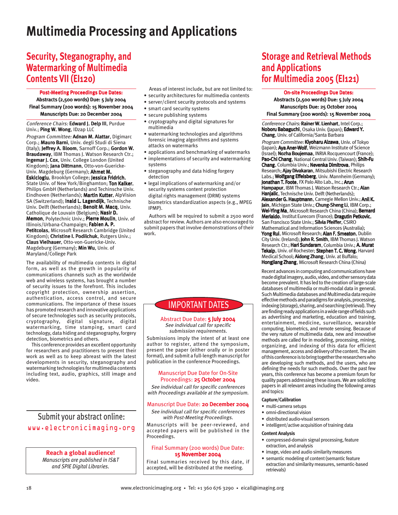## **Multimedia Processing and Applications**

## **Security, Steganography, and Watermarking of Multimedia Contents VII (EI120)**

Post-Meeting Proceedings Due Dates: Abstracts (2,500 words) Due: 5 July 2004 Final Summary (200 words): 15 November 2004 Manuscripts Due: 20 December 2004

Conference Chairs: Edward J. Delp III, Purdue Univ.; Ping W. Wong, IDzap LLC

Program Committee: Adnan M. Alattar, Digimarc Corp.; Mauro Barni, Univ. degli Studi di Siena (Italy); Jeffrey A. Bloom, Sarnoff Corp.; Gordon W. Braudaway, IBM Thomas J. Watson Research Ctr.; Ingemar J. Cox, Univ. College London (United Kingdom); Jana Dittmann, Otto-von-Guericke-Univ. Magdeburg (Germany); Ahmet M. Eskicioglu, Brooklyn College; Jessica Fridrich, State Univ. of New York/Binghamton; Ton Kalker, Philips GmbH (Netherlands) and Techinsche Univ. Eindhoven (Netherlands); Martin Kutter, AlpVision SA (Switzerland); Inald L. Lagendijk, Technische Univ. Delft (Netherlands); Benoit M. Macq, Univ. Catholique de Louvain (Belgium); Nasir D. Memon, Polytechnic Univ.; Pierre Moulin, Univ. of Illinois/Urbana-Champaign; Fabien A. P. Petitcolas, Microsoft Research Cambridge (United Kingdom); Christine I. Podilchuk, Rutgers Univ.; Claus Vielhauer, Otto-von-Guericke-Univ. Magdeburg (Germany); Min Wu, Univ. of Maryland/College Park

The availability of multimedia contents in digital form, as well as the growth in popularity of communications channels such as the worldwide web and wireless systems, has brought a number of security issues to the forefront. This includes copyright protection, ownership assertion, authentication, access control, and secure communications. The importance of these issues has promoted research and innovative applications of secure technologies such as security protocols, cryptography, digital signature, digital watermarking, time stamping, smart card technology, data hiding and steganography, forgery detection, biometrics and others.

This conference provides an excellent opportunity for researchers and practitioners to present their work as well as to keep abreast with the latest developments in security, steganography and watermarking technologies for multimedia contents including text, audio, graphics, still image and video.

## Submit your abstract online: www.electronicimaging.org

### **Reach a global audience!**

*Manuscripts are published in IS&T and SPIE Digital Libraries.*

- Areas of interest include, but are not limited to:
- security architectures for multimedia contents
- server/client security protocols and systems
- smart card security systems
- secure publishing systems
- cryptography and digital signatures for multimedia
- watermarking technologies and algorithms forensic imaging algorithms and systems attacks on watermarks
- applications and benchmarking of watermarks
- implementations of security and watermarking systems
- steganography and data hiding forgery detection
- legal implications of watermarking and/or security systems content protection digital rights management (DRM) systems biometrics standardization aspects (e.g., MPEG IPMP).

Authors will be required to submit a 2500 word abstract for review. Authors are also encouraged to submit papers that involve demonstrations of their work.

### IMPORTANT DATES

Abstract Due Date: 5 July 2004 See individual call for specific submission requirements.

Submissions imply the intent of at least one author to register, attend the symposium, present the paper (either orally or in poster format), and submit a full-length manuscript for publication in the conference Proceedings.

#### Manuscript Due Date for On-Site Proceedings: 25 October 2004

See individual call for specific conferences with Proceedings available at the symposium.

#### Manuscript Due Date: 20 December 2004

See individual call for specific conferences with Post-Meeting Proceedings.

Manuscripts will be peer-reviewed, and accepted papers will be published in the Proceedings.

#### Final Summary (200 words) Due Date: 15 November 2004

Final summaries received by this date, if accepted, will be distributed at the meeting.

## **Storage and Retrieval Methods and Applications for Multimedia 2005 (EI121)**

#### On-site Proceedings Due Dates:

Abstracts (2,500 words) Due: 5 July 2004 Manuscripts Due: 25 October 2004 Final Summary (200 words): 15 November 2004

Conference Chairs: Rainer W. Lienhart, Intel Corp.; Noboru Babaguchi, Osaka Univ. (Japan); Edward Y. Chang, Univ. of California/Santa Barbara

Program Committee: Kiyoharu Aizawa, Univ. of Tokyo (Japan); Aya Aner-Wolf, Weizmann Institute of Science (Israel); Nozha Boujemaa, INRIA Rocquencourt (France); Pao-Chi Chang, National Central Univ. (Taiwan); Shih-Fu Chang, Columbia Univ.; Nevenka Dimitrova, Philips Research; Ajay Divakaran, Mitsubishi Electric Research Labs.; Wolfgang Effelsberg, Univ. Mannheim (Germany); Jonathan T. Foote, FX Palo Alto Lab., Inc.; Arun Hampapur, IBM Thomas J. Watson Research Ctr.; Alan Hanjalic, Technische Univ. Delft (Netherlands); Alexander G. Hauptmann, Carnegie Mellon Univ.; Anil K. Jain, Michigan State Univ.; Chung-Sheng Li, IBM Corp.; Wei-Ying Ma, Microsoft Research China (China); Bernard Merialdo, Institut Eurecom (France); Dragutin Petkovic, San Francisco State Univ.; Silvia Pfeiffer, CSIRO Mathematical and Information Sciences (Australia); Yong Rui, Microsoft Research; Alan F. Smeaton, Dublin City Univ. (Ireland); John R. Smith, IBM Thomas J. Watson Research Ctr.; Hari Sundaram, Columbia Univ.; A. Murat Tekalp, Univ. of Rochester; Stephen T. C. Wong, Harvard Medical School; Aidong Zhang, Univ. at Buffalo; Hongliang Zhang, Microsoft Research China (China)

Recent advances in computing and communications have made digital imagery, audio, video, and other sensory data become prevalent. It has led to the creation of large-scale databases of multimedia or multi-modal data in general. Such Multimedia databases and Multimedia data require effective methods and paradigms for analysis, processing, indexing (storage), sharing, and searching (retrieval). They are finding ready applications in a wide range of fields such as advertising and marketing, education and training, entertainment, medicine, surveillance, wearable computing, biometrics, and remote sensing. Because of the very nature of multimedia data, new and innovative methods are called for in modeling, processing, mining, organizing, and indexing of this data for efficient management, access and delivery of the content. The aim of this conference is to bring together the researchers who are developing such methods, and the users, who are defining the needs for such methods. Over the past few years, this conference has become a premium forum for quality papers addressing these issues. We are soliciting papers in all relevant areas including the following areas and topics:

#### **Capture/Calibration**

- multi-camera setups
- omni-directional vision
- distributed audio-visual sensors
- intelligent/active acquisition of training data

#### **Content Analysis**

- compressed-domain signal processing, feature extraction, and analysis
- image, video and audio similarity measures
- semantic modeling of content (semantic feature extraction and similarity measures, semantic-based retrievals)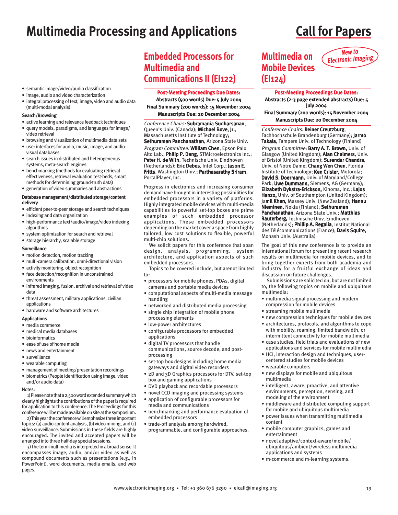## **Multimedia Processing and Applications Call for Papers**

- semantic image/video/audio classification
- image, audio and video characterization
- integral processing of text, image, video and audio data (multi-modal analysis)

#### **Search/Browsing**

- active learning and relevance feedback techniques
- query models, paradigms, and languages for image/ video retrieval
- browsing and visualization of multimedia data sets
- user interfaces for audio, music, image, and audiovisual databases
- search issues in distributed and heterogeneous systems, meta-search engines
- benchmarking (methods for evaluating retrieval effectiveness, retrieval evaluation test-beds, smart methods for determining ground-truth data)
- generation of video summaries and abstractions

#### **Database management/distributed storage/content delivery**

- efficient peer-to-peer storage and search techniques
- indexing and data organization
- high-performance text/audio/image/video indexing algorithms
- system optimization for search and retrieval
- storage hierarchy, scalable storage

#### **Surveillance**

- motion detection, motion tracking
- multi-camera calibration, omni-directional vision
- activity monitoring, object recognition
- face detection/recognition in unconstrained environments
- infrared imaging, fusion, archival and retrieval of video data
- threat assessment, military applications, civilian applications
- hardware and software architectures

#### **Applications**

- media commerce
- medical media databases
- bioinformatics
- ease of use of home media
- news and entertainment
- surveillance
- wearable computing
- management of meeting/presentation recordings • biometrics (People identification using image, video
- and/or audio data)
- Notes:

1) Please note that a 2,500 word extended summary which clearly highlights the contributions of the paper is required for application to this conference. The Proceedings for this conference will be made available on site at the symposium.

2) This year the conference will emphasize three important topics: (a) audio content analysis, (b) video mining, and (c) video surveillance. Submissions in these fields are highly encouraged. The invited and accepted papers will be arranged into three half-day special sessions.

3) The term multimedia is interpreted in a broad sense. It encompasses image, audio, and/or video as well as compound documents such as presentations (e.g., in PowerPoint), word documents, media emails, and web pages.

## **Embedded Processors for Multimedia and Communications II (EI122)**

#### Post-Meeting Proceedings Due Dates:

Abstracts (500 words) Due: 5 July 2004 Final Summary (200 words): 15 November 2004 Manuscripts Due: 20 December 2004

Conference Chairs: Subramania Sudharsanan, Queen's Univ. (Canada); Michael Bove, Jr., Massachusetts Institute of Technology; Sethuraman Panchanathan, Arizona State Univ. Program Committee: William Chen, Epson Palo Alto Lab.; Philip P. Dang, STMicroelectronics Inc.;

Peter H. de With, Technische Univ. Eindhoven (Netherlands); Eric Debes, Intel Corp.; Jason E. Fritts, Washington Univ.; Parthasarathy Sriram, PortalPlayer, Inc.

Progress in electronics and increasing consumer demand have brought in interesting possibilities for embedded processors in a variety of platforms. Highly integrated mobile devices with multi-media capabilities to powerful set-top boxes are prime examples of such embedded processor applications. These embedded processors depending on the market cover a space from highly tailored, low cost solutions to flexible, powerful multi-chip solutions.

We solicit papers for this conference that span design, analysis, programming, system architecture, and application aspects of such embedded processors.

Topics to be covered include, but arenot limited to:

- processors for mobile phones, PDAs, digital cameras and portable media devices
- computational aspects of multi-media message handling
- networked and distributed media processing
- single chip integration of mobile phone processing elements
- low-power architectures
- configurable processors for embedded applications
- digital TV processors that handle communications, source decode, and postprocessing
- set-top box designs including home media gateways and digital video recorders
- 2D and 3D Graphics processors for DTV, set-top box and gaming applications
- DVD playback and recordable processors
- novel CCD imaging and processing systems
- application of configurable processors for media and communications
- benchmarking and performance evaluation of embedded processors
- trade-off analysis among hardwired, programmable, and configurable approaches.

### **Multimedia on Mobile Devices (EI124)**



#### Post-Meeting Proceedings Due Dates: Abstracts (2-3 page extended abstracts) Due: 5 July 2004 Final Summary (200 words): 15 November 2004

Manuscripts Due: 20 December 2004

#### Conference Chairs: Reiner Creutzburg,

Fachhochschule Brandenburg (Germany); Jarmo Takala, Tampere Univ. of Technology (Finland)

Program Committee: Barry A. T. Brown, Univ. of Glasgow (United Kingdom); Alan Chalmers, Univ. of Bristol (United Kingdom); Surendar Chandra, Univ. of Notre Dame; Chang Wen Chen, Florida Institute of Technology; Ken Crisler, Motorola; David S. Doermann, Univ. of Maryland/College Park; Uwe Dummann, Siemens, AG (Germany); Elizabeth Dykstra-Erickson, Kinoma, Inc.; Lajos Hanzo, Univ. of Southampton (United Kingdom); Jamil Khan, Massey Univ. (New Zealand); Hannu Nieminen, Nokia (Finland); Sethuraman Panchanathan, Arizona State Univ.; Matthias Rauterberg, Technische Univ. Eindhoven (Netherlands); Phillip A. Regalia, Institut National des Télécommunications (France): Davis Squire, Monash Univ. (Australia)

The goal of this new conference is to provide an international forum for presenting recent research results on multimedia for mobile devices, and to bring together experts from both academia and industry for a fruitful exchange of ideas and discussion on future challenges.

Submissions are solicited on, but are not limited to, the following topics on mobile and ubiquitous multimedia:

- multimedia signal processing and modern compression for mobile devices
- streaming mobile multimedia
- new compression techniques for mobile devices
- architectures, protocols, and algorithms to cope with mobility, roaming, limited bandwidth, or intermittent connectivity for mobile multimedia
- case studies, field trials and evaluations of new applications and services for mobile multimedia
- HCI, interaction design and techniques, usercentered studies for mobile devices
- wearable computers
- new displays for mobile and ubiquitous multimedia
- intelligent, aware, proactive, and attentive environments, perception, sensing, and modeling of the environment
- middleware and distributed computing support for mobile and ubiquitous multimedia
- power issues when transmitting multimedia content
- mobile computer graphics, games and entertainment
- novel adaptive/context-aware/mobile/ ubiquitous/ambient/wireless multimedia applications and systems
- m-commerce and m-learning systems.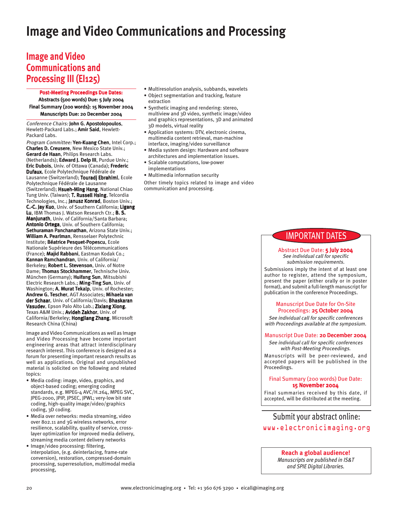## **Image and Video Communications and Processing**

## **Image and Video Communications and Processing III (EI125)**

Post-Meeting Proceedings Due Dates:

Abstracts (500 words) Due: 5 July 2004 Final Summary (200 words): 15 November 2004 Manuscripts Due: 20 December 2004

Conference Chairs: John G. Apostolopoulos, Hewlett-Packard Labs.; Amir Said, Hewlett-Packard Labs.

Program Committee: Yen-Kuang Chen, Intel Corp.; Charles D. Creusere, New Mexico State Univ.; Gerard de Haan, Philips Research Labs. (Netherlands); Edward J. Delp III, Purdue Univ.; Eric Dubois, Univ. of Ottawa (Canada); Frederic Dufaux, Ecole Polytechnique Fédérale de Lausanne (Switzerland); Touradj Ebrahimi, Ecole Polytechnique Fédérale de Lausanne (Switzerland); Hsueh-Ming Hang, National Chiao Tung Univ. (Taiwan); T. Russell Hsing, Telcordia Technologies, Inc.; Janusz Konrad, Boston Univ.; C.-C. Jay Kuo, Univ. of Southern California; Ligang Lu, IBM Thomas J. Watson Research Ctr.; B. S. Manjunath, Univ. of California/Santa Barbara; Antonio Ortega, Univ. of Southern California; Sethuraman Panchanathan, Arizona State Univ.; William A. Pearlman, Rensselaer Polytechnic Institute; Béatrice Pesquet-Popescu, Ecole Nationale Supérieure des Télécommunications (France); Majid Rabbani, Eastman Kodak Co.; Kannan Ramchandran, Univ. of California/ Berkeley; Robert L. Stevenson, Univ. of Notre Dame; Thomas Stockhammer, Technische Univ. München (Germany); Huifang Sun, Mitsubishi Electric Research Labs.; Ming-Ting Sun, Univ. of Washington; A. Murat Tekalp, Univ. of Rochester; Andrew G. Tescher, AGT Associates; Mihaela van der Schaar, Univ. of California/Davis; Bhaskaran Vasudev, Epson Palo Alto Lab.; Zixiang Xiong, Texas A&M Univ.; Avideh Zakhor, Univ. of California/Berkeley; HongJiang Zhang, Microsoft Research China (China)

Image and Video Communications as well as Image and Video Processing have become important engineering areas that attract interdisciplinary research interest. This conference is designed as a forum for presenting important research results as well as applications. Original and unpublished material is solicited on the following and related topics:

- Media coding: image, video, graphics, and object-based coding; emerging coding standards, e.g. MPEG-4 AVC/H.264, MPEG SVC, JPEG-2000, JPIP, JPSEC, JPWL; very-low bit rate coding, high-quality image/video/graphics coding, 3D coding.
- Media over networks: media streaming, video over 802.11 and 3G wireless networks, error resilience, scalability, quality of service, crosslayer optimization for improved media delivery, streaming media content delivery networks
- Image/video processing: filtering, interpolation, (e.g. deinterlacing, frame-rate conversion), restoration, compressed-domain processing, superresolution, multimodal media processing,
- Multiresolution analysis, subbands, wavelets
- Object segmentation and tracking, feature extraction
- Synthetic imaging and rendering: stereo, multiview and 3D video, synthetic image/video and graphics representations, 3D and animated 3D models, virtual reality
- Application systems: DTV, electronic cinema, multimedia content retrieval, man-machine interface, imaging/video surveillance
- Media system design: Hardware and software architectures and implementation issues.
- Scalable computations, low-power implementations
- Multimedia information security

Other timely topics related to image and video communication and processing.

### IMPORTANT DATES

#### Abstract Due Date: 5 July 2004 See individual call for specific

submission requirements. Submissions imply the intent of at least one author to register, attend the symposium,

present the paper (either orally or in poster format), and submit a full-length manuscript for publication in the conference Proceedings.

#### Manuscript Due Date for On-Site Proceedings: 25 October 2004

See individual call for specific conferences with Proceedings available at the symposium.

#### Manuscript Due Date: 20 December 2004

See individual call for specific conferences with Post-Meeting Proceedings. Manuscripts will be peer-reviewed, and accepted papers will be published in the Proceedings.

#### Final Summary (200 words) Due Date: 15 November 2004

Final summaries received by this date, if accepted, will be distributed at the meeting.

### Submit your abstract online: www.electronicimaging.org

### **Reach a global audience!**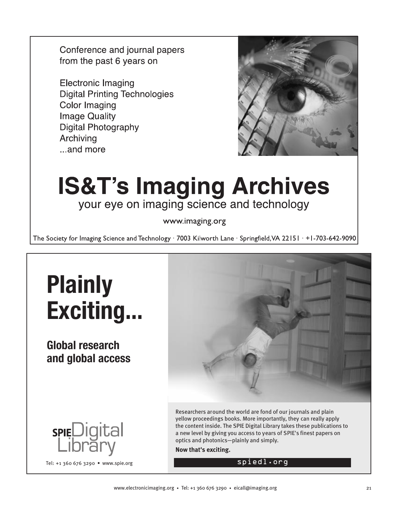Conference and journal papers from the past 6 years on

**Electronic Imaging Digital Printing Technologies Color Imaging Image Quality Digital Photography** Archiving ...and more



# **IS&T's Imaging Archives** your eye on imaging science and technology

www.imaging.org

The Society for Imaging Science and Technology · 7003 Kilworth Lane · Springfield, VA 22151 · +1-703-642-9090



**Global research and global access**

spieDigital



Researchers around the world are fond of our journals and plain yellow proceedings books. More importantly, they can really apply the content inside. The SPIE Digital Library takes these publications to a new level by giving you access to years of SPIE's finest papers on optics and photonics—plainly and simply.

**Now that's exciting.**

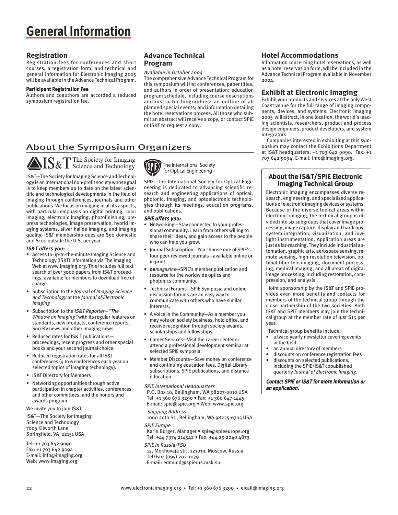## **General Information**

#### **Registration**

Registration fees for conferences and short courses, a registration form, and technical and general information for Electronic Imaging 2005 will be available in the Advance Technical Program.

#### Participant Registration Fee

Authors and coauthors are accorded a reduced symposium registration fee.

### **Advance Technical Program**

#### Available in October 2004.

The comprehensive Advance Technical Program for this symposium will list conferences, paper titles, and authors in order of presentation; education program schedule, including course descriptions and instructor biographies; an outline of all planned special events; and information detailing the hotel reservations process. All those who submit an abstract will receive a copy, or contact SPIE or IS&T to request a copy.

### About the Symposium Organizers

AIS&T The Society for Imaging

IS&T—The Society for Imaging Science and Technology is an international non-profit society whose goal is to keep members up to date on the latest scientific and technological developments in the field of imaging through conferences, journals and other publications. We focus on imaging in all its aspects, with particular emphasis on digital printing, color imaging, electronic imaging, photofinishing, prepress technologies, image preservation, hybrid imaging systems, silver halide imaging, and imaging quality. IS&T membership dues are \$90 domestic and \$100 outside the U.S. per year.

#### IS&T offers you:

- Access to up-to-the-minute Imaging Science and Technology (IS&T) information via The Imaging Web at www.imaging.org. This includes full text search of over 3000 papers from IS&T proceedings, available for members to download free of charge.
- Subscription to the *Journal of Imaging Science* and Technology or the Journal of Electronic Imaging
- Subscription to the IS&T Reporter—"The Window on Imaging" with its regular features on standards, new products, conference reports, Society news and other imaging news.
- Reduced rates for IS& T publications proceedings, recent progress and other special books and your second journal choice.
- Reduced registration rates for all IS&T conferences (4 to 6 conferences each year on selected topics of imaging technology).
- IS&T Directory for Members
- Networking opportunities through active participation in chapter activities, conferences and other committees, and the honors and awards program.

We invite you to join IS&T.

IS&T—The Society for Imaging Science and Technology 7003 Kilworth Lane Springfield, VA 22151 USA

Tel: +1 703 642 9090 Fax: +1 703 642 9094 E-mail: info@imaging.org Web: www.imaging.org



The International Society for Optical Engineering

SPIE—The International Society for Optical Engineering is dedicated to advancing scientific research and engineering applications of optical, photonic, imaging, and optoelectronic technologies through its meetings, education programs, and publications.

#### SPIE offers you:

- Networking—Stay connected to your professional community. Learn from others willing to share their ideas, and gain access to the people who can help you grow.
- Journal Subscription—You choose one of SPIE's four peer-reviewed journals—available online or in print.
- oemagazine—SPIE's member publication and resource for the worldwide optics and photonics community.
- Technical Forums—SPIE Symposia and online discussion forums are an easy way to communicate with others who have similar **interests**
- A Voice in the Community—As a member you may vote on society business, hold office, and receive recognition through society awards, scholarships and fellowships.
- Career Services—Visit the career center or attend a professional development seminar at selected SPIE symposia.
- Member Discounts—Save money on conference and continuing education fees, Digital Library subscriptions, SPIE publications, and distance education.

SPIE International Headquarters P.O. Box 10, Bellingham, WA 98227-0010 USA Tel: +1 360 676 3290 • Fax: +1 360 647-1445 E-mail: spie@spie.org • Web: www.spie.org

Shipping Address 1000 20th St., Bellingham, WA 98225-6705 USA SPIE Europe

Karin Burger, Manager • spie@spieeurope.org Tel: +44 7974 214542 • Fax: +44 29 2040 4873 SPIE in Russia/FSU

12, Mokhovaja str., 121019, Moscow, Russia Tel/Fax: (095) 202-1079 E-mail: edmund@spierus.msk.su

#### **Hotel Accommodations**

Information concerning hotel reservations, as well as a hotel reservation form, will be included in the Advance Technical Program available in November 2004.

#### **Exhibit at Electronic Imaging**

Exhibit your products and services at the only West Coast venue for the full range of imaging components, devices, and systems. Electronic Imaging 2005 will attract, in one location, the world's leading scientists, researchers, product and process design engineers, product developers, and system integrators.

Companies interested in exhibiting at this symposium may contact the Exhibitions Department at IS&T headquarters, +1 703 642 9090. Fax: +1 703 642 9094. E-mail: info@imaging.org.

#### About the IS&T/SPIE Electronic Imaging Technical Group

Electronic imaging encompasses diverse research, engineering, and specialized applications of electronic imaging devices or systems. Because of the diverse topical areas within electronic imaging, the technical group is divided into six subgroups that cover image processing, image capture, display and hardcopy, system integration, visualization, and lowlight instrumentation. Application areas are just as far-reaching. They include industrial automation, graphic arts, aerospace sensing, remote sensing, high-resolution television, optimal fiber tele-imaging, document processing, medical imaging, and all areas of digital image processing, including restoration, compression, and analysis.

 Joint sponsorship by the IS&T and SPIE provides even more benefits and contacts for members of the technical group through the close partnership of the two societies. Both IS&T and SPIE members may join the technical group at the member rate of just \$15 per year.

Technical group benefits include:

- a twice-yearly newsletter covering events in the field
- an annual directory of members
- discounts on conference registration fees<br>• discounts on selected publications
- discounts on selected publications, including the SPIE/IS&T copublished quarterly Journal of Electronic Imaging.

Contact SPIE or IS&T for more information or an application.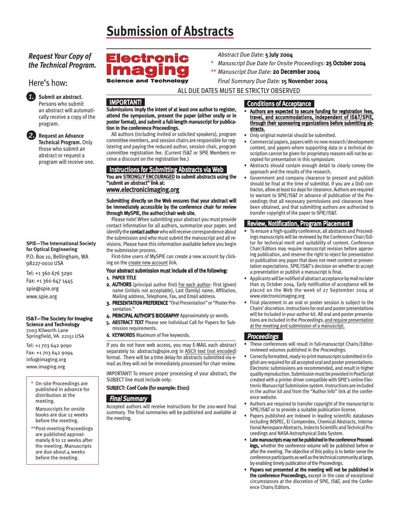# **Submission of Abstracts**

### *Request Your Copy of the Technical Program.*

Here's how:



#### *1.* **Submit an abstract.** Persons who submit

an abstract will automatically receive a copy of the program.

*2.* **Request an Advance Technical Program.** Only those who submit an abstract or request a program will receive one.

#### **SPIE—The International Society for Optical Engineering** P.O. Box 10, Bellingham, WA 98227-0010 USA

Tel: +1 360 676 3290 Fax: +1 360 647 1445 spie@spie.org www.spie.org

#### IS&T—The Society for Imaging Science and Technology

7003 Kilworth Lane Springfield, VA 22151 USA

Tel: +1 703 642 9090 Fax: +1 703 642 9094 info@imaging.org www.imaging.org

On-site Proceedings are published in advance for distribution at the meeting.

Manuscripts for onsite books are due 12 weeks before the meeting.

\*\*Post-meeting Proceedings are published approximately 8 to 12 weeks after the meeting. Manuscripts are due about 4 weeks before the meeting.

## **Electronic C**

Abstract Due Date: 5 July 2004

- Manuscript Due Date for Onsite Proceedings: 25 October 2004
- \*\* Manuscript Due Date: 20 December 2004

Final Summary Due Date: 15 November 2004

ALL DUE DATES MUST BE STRICTLY OBSERVED

\*

### IMPORTANT!

Submissions imply the intent of at least one author to register, attend the symposium, present the paper (either orally or in poster format), and submit a full-length manuscript for publication in the conference Proceedings.

All authors (including invited or solicited speakers), program committee members, and session chairs are responsible for registering and paying the reduced author, session chair, program committee registration fee. (Current IS&T or SPIE Members receive a discount on the registration fee.)

#### Instructions for Submitting Abstracts via Web You are STRONGLY ENCOURAGED to submit abstracts using the "submit an abstract" link at: www.electronicimaging.org

#### Submitting directly on the Web ensures that your abstract will be immediately accessible by the conference chair for review through MySPIE, the author/chair web site.

Please note! When submitting your abstract you must provide contact information for all authors, summarize your paper, and identify the **contact author** who will receive correspondence about the submission and who must submit the manuscript and all revisions. Please have this information available before you begin the submission process.

First-time users of MySPIE can create a new account by clicking on the create new account link.

#### Your abstract submission must include all of the following:

#### 1. PAPER TITLE

- 2. AUTHORS (principal author first) For each author: First (given) name (initials not acceptable), Last (family) name, Affiliation, Mailing address, Telephone, Fax, and Email address.
- 3. PRESENTATION PREFERENCE "Oral Presentation" or "Poster Pre sentation."
- 4. PRINCIPAL AUTHOR'S BIOGRAPHY Approximately 50 words.
- 5. ABSTRACT TEXT Please see individual Call for Papers for Sub mission requirements.
- 6. KEYWORDS Maximum of five keywords.

If you do not have web access, you may E-MAIL each abstract separately to: abstracts@spie.org in ASCII text (not encoded) format. There will be a time delay for abstracts submitted via email as they will not be immediately processed for chair review.

IMPORTANT! To ensure proper processing of your abstract, the SUBJECT line must include only:

#### SUBJECT: Conf Code (for example: EI101)

#### **Final Summary**

Accepted authors will receive instructions for the 200-word final summary. The final summaries will be published and available at the meeting.

#### Conditions of Acceptance

- Authors are expected to secure funding for registration fees, travel, and accommodations, independent of IS&T/SPIE, through their sponsoring organizations before submitting abstracts.
- Only original material should be submitted.
- Commercial papers, papers with no new research/development content, and papers where supporting data or a technical description cannot be given for proprietary reasons will not be accepted for presentation in this symposium.
- Abstracts should contain enough detail to clearly convey the approach and the results of the research.
- Government and company clearance to present and publish should be final at the time of submittal. If you are a DoD contractor, allow at least 60 days for clearance. Authors are required to warrant to SPIE/IS&T in advance of publication of the Proceedings that all necessary permissions and clearances have been obtained, and that submitting authors are authorized to transfer copyright of the paper to SPIE/IS&T.

#### Review, Notification, Program Placement

- To ensure a high-quality conference, all abstracts and Proceedings manuscripts will be reviewed by the Conference Chair/Editor for technical merit and suitability of content. Conference Chair/Editors may require manuscript revision before approving publication, and reserve the right to reject for presentation or publication any paper that does not meet content or presentation expectations. SPIE/IS&T's decision on whether to accept a presentation or publish a manuscript is final.
- Applicants will be notified of abstract acceptance by mail no later than 25 October 2004. Early notification of acceptance will be placed on the Web the week of 27 September 2004 at www.electronicimaging.org
- Final placement in an oral or poster session is subject to the Chairs' discretion. Instructions for oral and poster presentations will be included in your author kit. All oral and poster presentations are included in the Proceedings, and require presentation at the meeting and submission of a manuscript.

### Proceedings

- These conferences will result in full-manuscript Chairs/Editorreviewed volumes published in the Proceedings.
- Correctly formatted, ready-to-print manuscripts submitted in English are required for all accepted oral and poster presentations. Electronic submissions are recommended, and result in higher quality reproduction. Submission must be provided in PostScript created with a printer driver compatible with SPIE's online Electronic Manuscript Submission system. Instructions are included in the author kit and from the "Author Info" link at the conference website.
- Authors are required to transfer copyright of the manuscript to SPIE/IS&T or to provide a suitable publication license.
- Papers published are indexed in leading scientific databases including INSPEC, Ei Compendex, Chemical Abstracts, International Aerospace Abstracts, Index to Scientific and Technical Proceedings and NASA Astrophysical Data System.
- Late manuscripts may not be published in the conference Proceedings, whether the conference volume will be published before or after the meeting. The objective of this policy is to better serve the conference participants as well as the technical community at large, by enabling timely publication of the Proceedings.
- ence Chairs/Editors. Papers not presented at the meeting will not be published in the conference Proceedings, except in the case of exceptional circumstances at the discretion of SPIE, IS&T, and the Confer-

**Science and Technology**